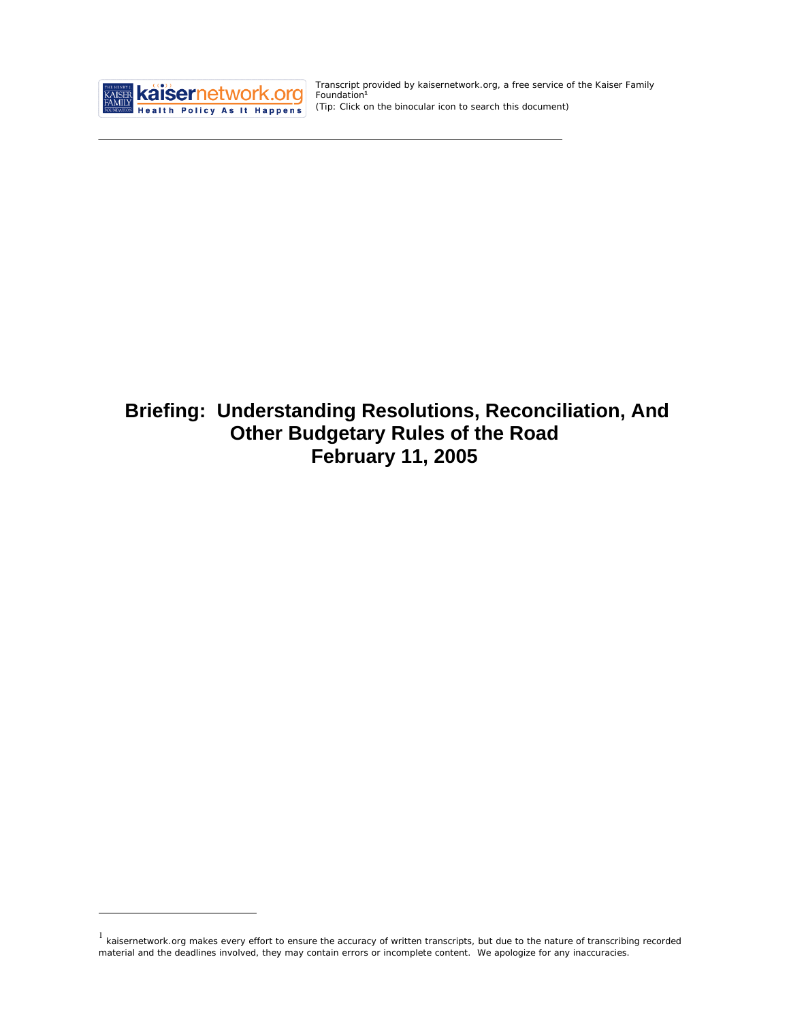

 $\overline{a}$ 

Transcript provided by kaisernetwork.org, a free service of the Kaiser Family Foundation**<sup>1</sup>** *(Tip: Click on the binocular icon to search this document)* 

# **Briefing: Understanding Resolutions, Reconciliation, And Other Budgetary Rules of the Road February 11, 2005**

 $1$  kaisernetwork.org makes every effort to ensure the accuracy of written transcripts, but due to the nature of transcribing recorded material and the deadlines involved, they may contain errors or incomplete content. We apologize for any inaccuracies.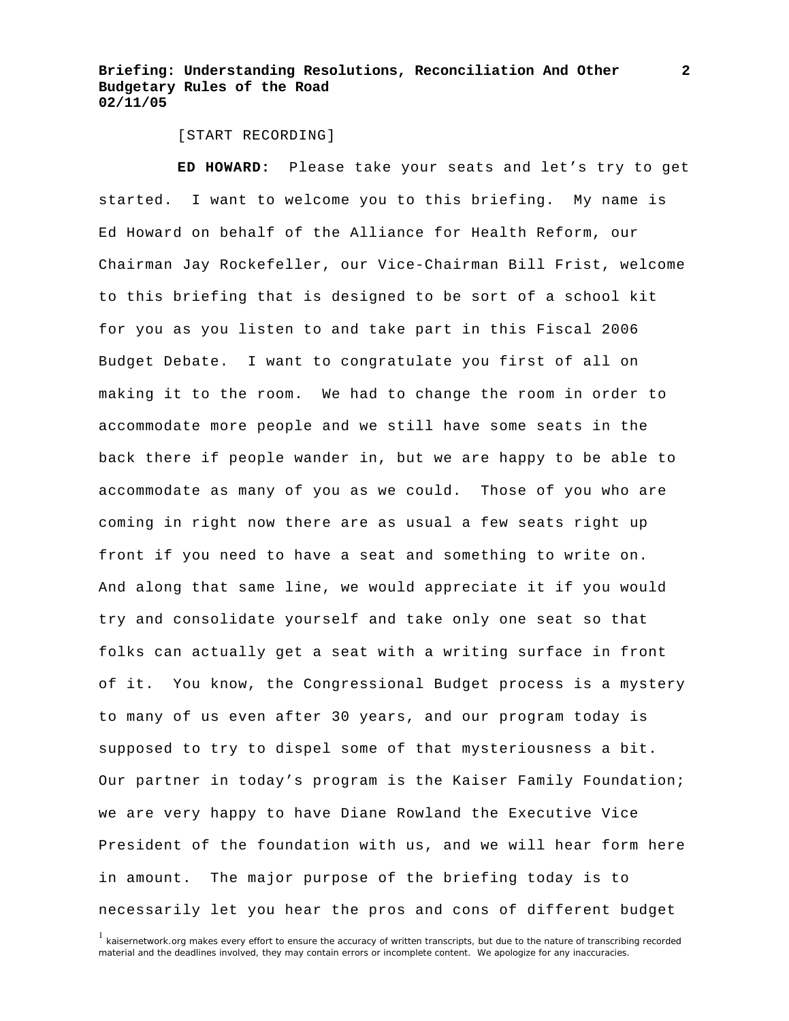[START RECORDING]

**ED HOWARD:** Please take your seats and let's try to get started. I want to welcome you to this briefing. My name is Ed Howard on behalf of the Alliance for Health Reform, our Chairman Jay Rockefeller, our Vice-Chairman Bill Frist, welcome to this briefing that is designed to be sort of a school kit for you as you listen to and take part in this Fiscal 2006 Budget Debate. I want to congratulate you first of all on making it to the room. We had to change the room in order to accommodate more people and we still have some seats in the back there if people wander in, but we are happy to be able to accommodate as many of you as we could. Those of you who are coming in right now there are as usual a few seats right up front if you need to have a seat and something to write on. And along that same line, we would appreciate it if you would try and consolidate yourself and take only one seat so that folks can actually get a seat with a writing surface in front of it. You know, the Congressional Budget process is a mystery to many of us even after 30 years, and our program today is supposed to try to dispel some of that mysteriousness a bit. Our partner in today's program is the Kaiser Family Foundation; we are very happy to have Diane Rowland the Executive Vice President of the foundation with us, and we will hear form here in amount. The major purpose of the briefing today is to necessarily let you hear the pros and cons of different budget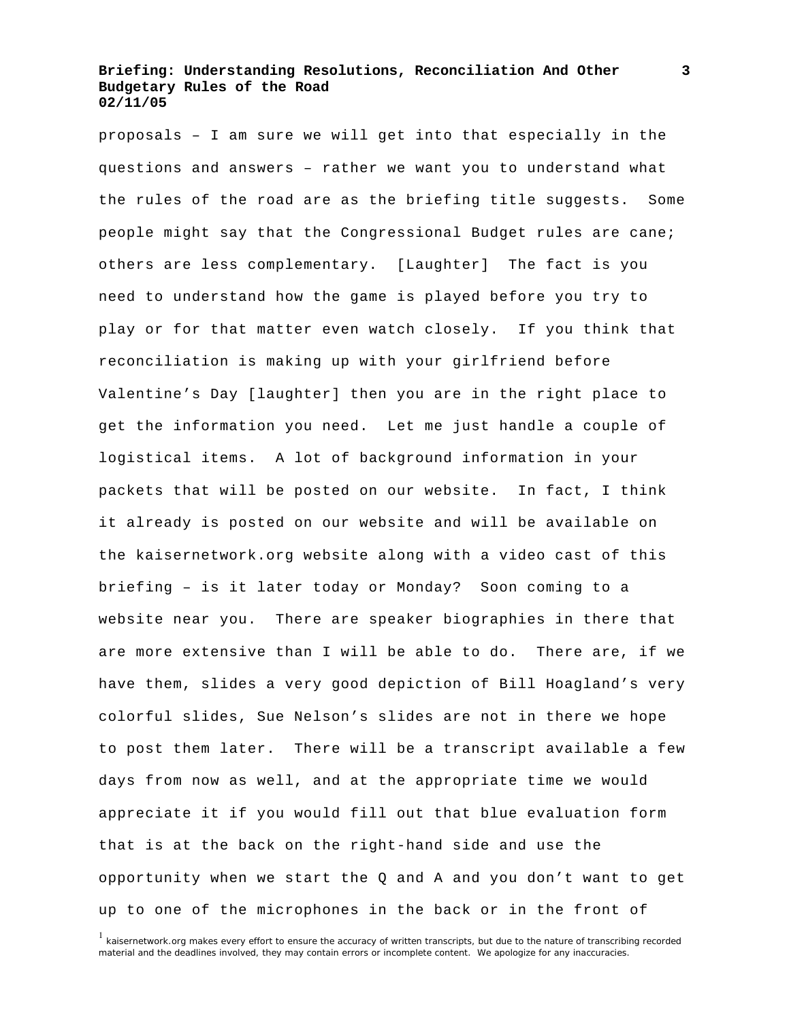proposals – I am sure we will get into that especially in the questions and answers – rather we want you to understand what the rules of the road are as the briefing title suggests. Some people might say that the Congressional Budget rules are cane; others are less complementary. [Laughter] The fact is you need to understand how the game is played before you try to play or for that matter even watch closely. If you think that reconciliation is making up with your girlfriend before Valentine's Day [laughter] then you are in the right place to get the information you need. Let me just handle a couple of logistical items. A lot of background information in your packets that will be posted on our website. In fact, I think it already is posted on our website and will be available on the kaisernetwork.org website along with a video cast of this briefing – is it later today or Monday? Soon coming to a website near you. There are speaker biographies in there that are more extensive than I will be able to do. There are, if we have them, slides a very good depiction of Bill Hoagland's very colorful slides, Sue Nelson's slides are not in there we hope to post them later. There will be a transcript available a few days from now as well, and at the appropriate time we would appreciate it if you would fill out that blue evaluation form that is at the back on the right-hand side and use the opportunity when we start the Q and A and you don't want to get up to one of the microphones in the back or in the front of

<sup>&</sup>lt;sup>1</sup> kaisernetwork.org makes every effort to ensure the accuracy of written transcripts, but due to the nature of transcribing recorded material and the deadlines involved, they may contain errors or incomplete content. We apologize for any inaccuracies.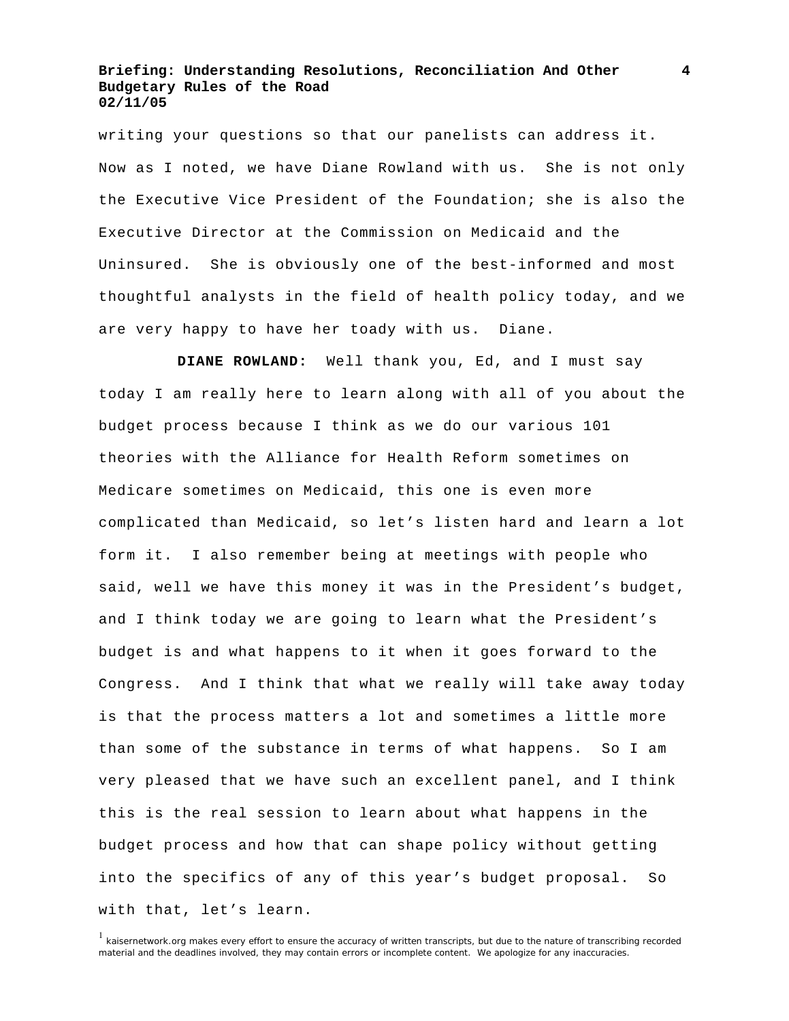writing your questions so that our panelists can address it. Now as I noted, we have Diane Rowland with us. She is not only the Executive Vice President of the Foundation; she is also the Executive Director at the Commission on Medicaid and the Uninsured. She is obviously one of the best-informed and most thoughtful analysts in the field of health policy today, and we are very happy to have her toady with us. Diane.

 **DIANE ROWLAND:** Well thank you, Ed, and I must say today I am really here to learn along with all of you about the budget process because I think as we do our various 101 theories with the Alliance for Health Reform sometimes on Medicare sometimes on Medicaid, this one is even more complicated than Medicaid, so let's listen hard and learn a lot form it. I also remember being at meetings with people who said, well we have this money it was in the President's budget, and I think today we are going to learn what the President's budget is and what happens to it when it goes forward to the Congress. And I think that what we really will take away today is that the process matters a lot and sometimes a little more than some of the substance in terms of what happens. So I am very pleased that we have such an excellent panel, and I think this is the real session to learn about what happens in the budget process and how that can shape policy without getting into the specifics of any of this year's budget proposal. So with that, let's learn.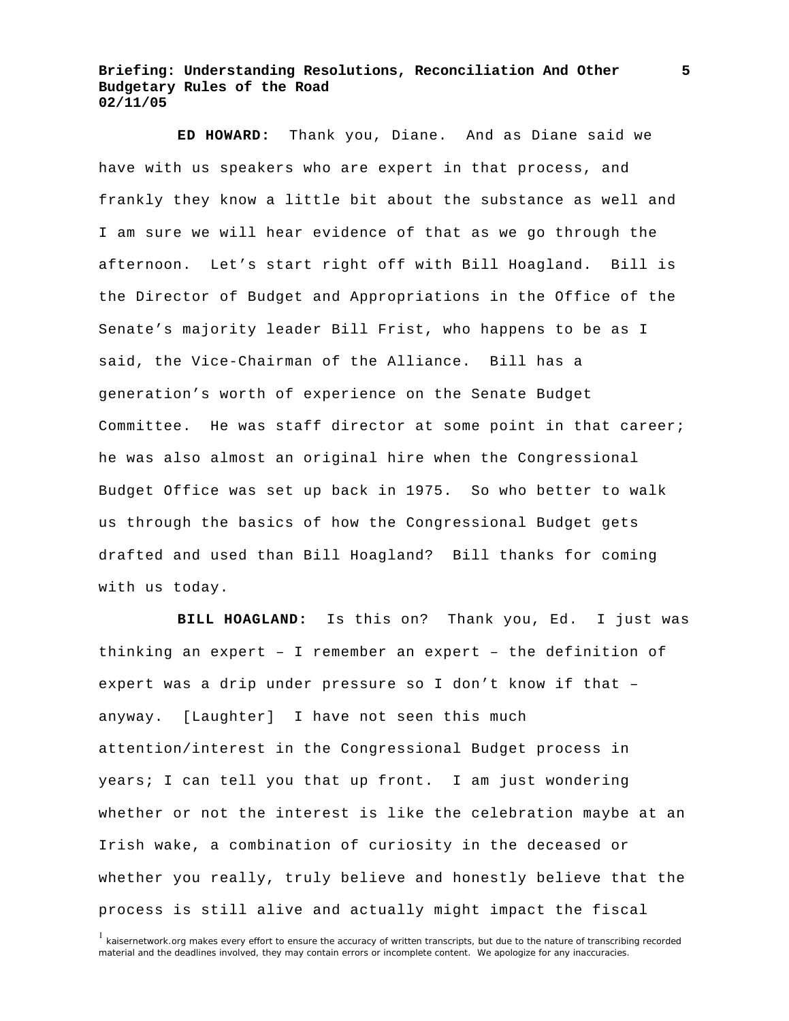**ED HOWARD:** Thank you, Diane. And as Diane said we have with us speakers who are expert in that process, and frankly they know a little bit about the substance as well and I am sure we will hear evidence of that as we go through the afternoon. Let's start right off with Bill Hoagland. Bill is the Director of Budget and Appropriations in the Office of the Senate's majority leader Bill Frist, who happens to be as I said, the Vice-Chairman of the Alliance. Bill has a generation's worth of experience on the Senate Budget Committee. He was staff director at some point in that career; he was also almost an original hire when the Congressional Budget Office was set up back in 1975. So who better to walk us through the basics of how the Congressional Budget gets drafted and used than Bill Hoagland? Bill thanks for coming with us today.

 **BILL HOAGLAND:** Is this on? Thank you, Ed. I just was thinking an expert – I remember an expert – the definition of expert was a drip under pressure so I don't know if that – anyway. [Laughter] I have not seen this much attention/interest in the Congressional Budget process in years; I can tell you that up front. I am just wondering whether or not the interest is like the celebration maybe at an Irish wake, a combination of curiosity in the deceased or whether you really, truly believe and honestly believe that the process is still alive and actually might impact the fiscal

<sup>&</sup>lt;sup>1</sup> kaisernetwork.org makes every effort to ensure the accuracy of written transcripts, but due to the nature of transcribing recorded material and the deadlines involved, they may contain errors or incomplete content. We apologize for any inaccuracies.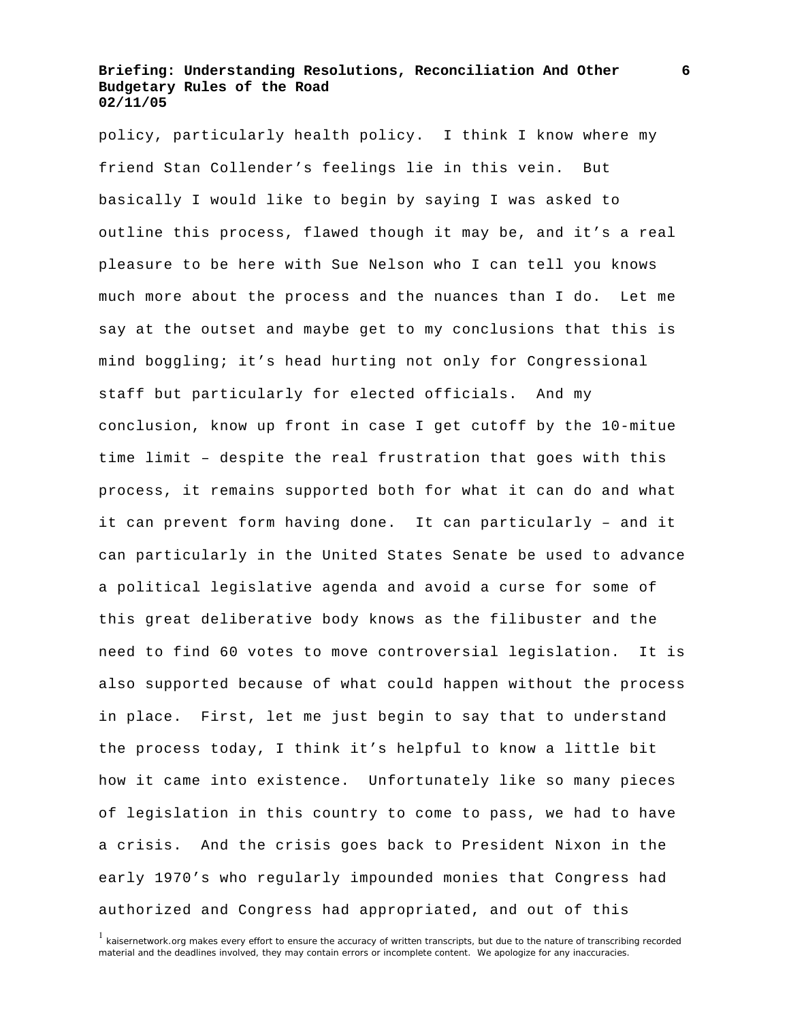policy, particularly health policy. I think I know where my friend Stan Collender's feelings lie in this vein. But basically I would like to begin by saying I was asked to outline this process, flawed though it may be, and it's a real pleasure to be here with Sue Nelson who I can tell you knows much more about the process and the nuances than I do. Let me say at the outset and maybe get to my conclusions that this is mind boggling; it's head hurting not only for Congressional staff but particularly for elected officials. And my conclusion, know up front in case I get cutoff by the 10-mitue time limit – despite the real frustration that goes with this process, it remains supported both for what it can do and what it can prevent form having done. It can particularly – and it can particularly in the United States Senate be used to advance a political legislative agenda and avoid a curse for some of this great deliberative body knows as the filibuster and the need to find 60 votes to move controversial legislation. It is also supported because of what could happen without the process in place. First, let me just begin to say that to understand the process today, I think it's helpful to know a little bit how it came into existence. Unfortunately like so many pieces of legislation in this country to come to pass, we had to have a crisis. And the crisis goes back to President Nixon in the early 1970's who regularly impounded monies that Congress had authorized and Congress had appropriated, and out of this

<sup>&</sup>lt;sup>1</sup> kaisernetwork.org makes every effort to ensure the accuracy of written transcripts, but due to the nature of transcribing recorded material and the deadlines involved, they may contain errors or incomplete content. We apologize for any inaccuracies.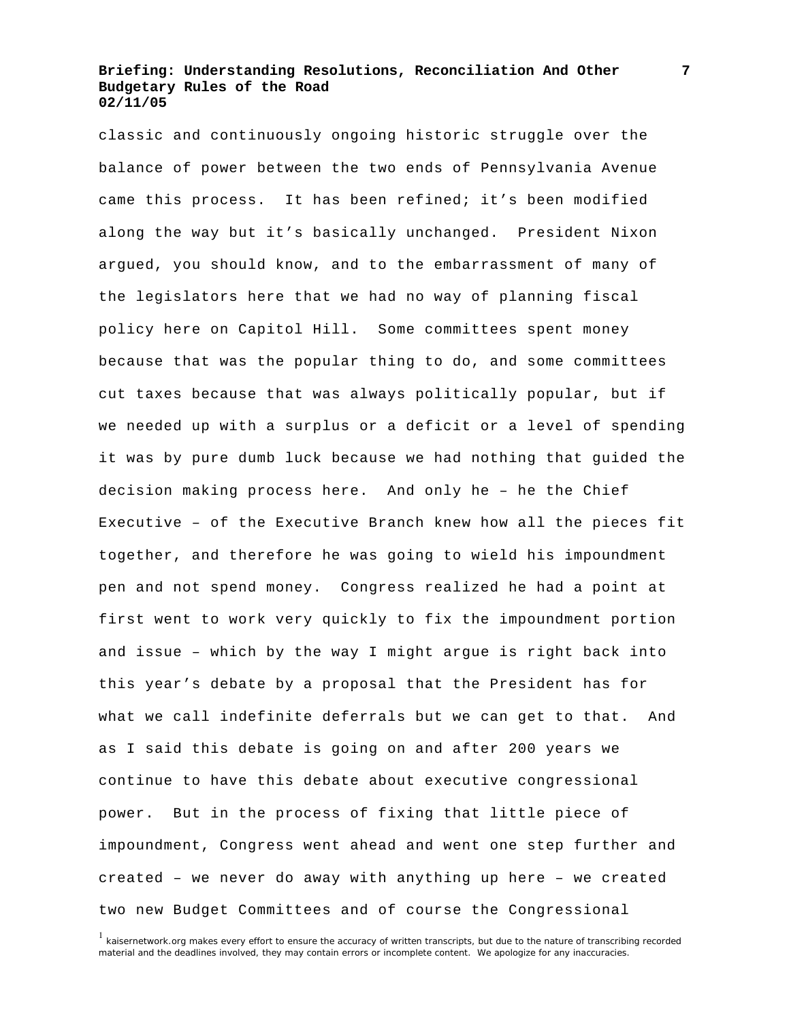classic and continuously ongoing historic struggle over the balance of power between the two ends of Pennsylvania Avenue came this process. It has been refined; it's been modified along the way but it's basically unchanged. President Nixon argued, you should know, and to the embarrassment of many of the legislators here that we had no way of planning fiscal policy here on Capitol Hill. Some committees spent money because that was the popular thing to do, and some committees cut taxes because that was always politically popular, but if we needed up with a surplus or a deficit or a level of spending it was by pure dumb luck because we had nothing that guided the decision making process here. And only he – he the Chief Executive – of the Executive Branch knew how all the pieces fit together, and therefore he was going to wield his impoundment pen and not spend money. Congress realized he had a point at first went to work very quickly to fix the impoundment portion and issue – which by the way I might argue is right back into this year's debate by a proposal that the President has for what we call indefinite deferrals but we can get to that. And as I said this debate is going on and after 200 years we continue to have this debate about executive congressional power. But in the process of fixing that little piece of impoundment, Congress went ahead and went one step further and created – we never do away with anything up here – we created two new Budget Committees and of course the Congressional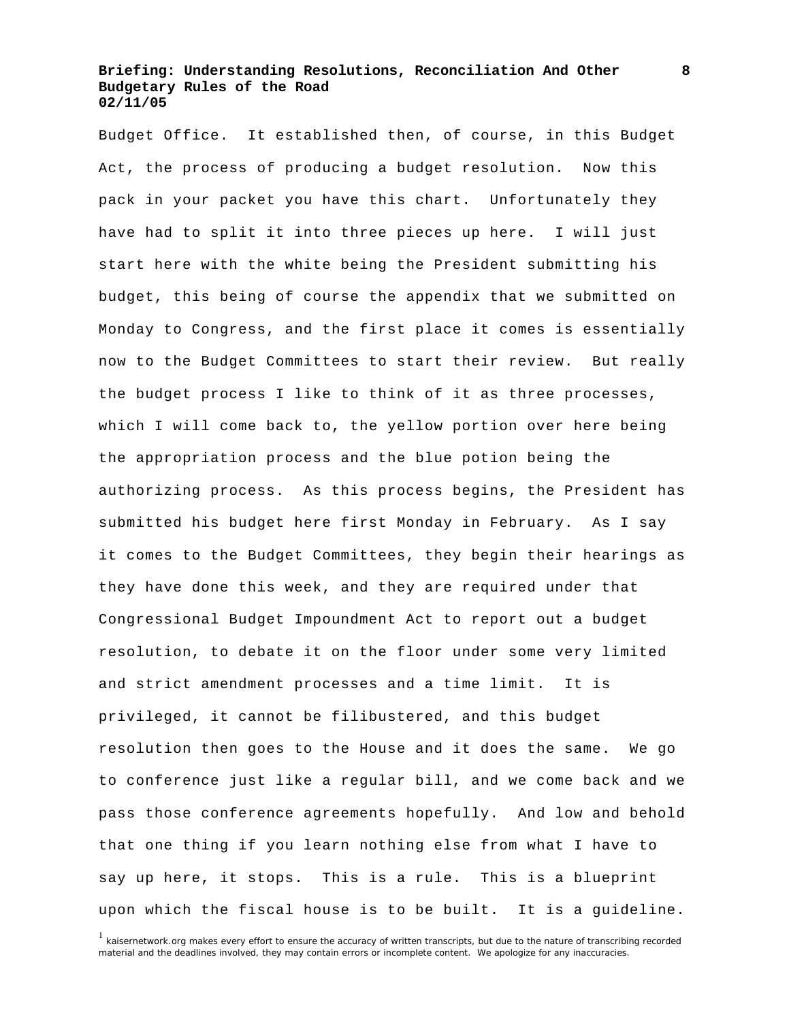Budget Office. It established then, of course, in this Budget Act, the process of producing a budget resolution. Now this pack in your packet you have this chart. Unfortunately they have had to split it into three pieces up here. I will just start here with the white being the President submitting his budget, this being of course the appendix that we submitted on Monday to Congress, and the first place it comes is essentially now to the Budget Committees to start their review. But really the budget process I like to think of it as three processes, which I will come back to, the yellow portion over here being the appropriation process and the blue potion being the authorizing process. As this process begins, the President has submitted his budget here first Monday in February. As I say it comes to the Budget Committees, they begin their hearings as they have done this week, and they are required under that Congressional Budget Impoundment Act to report out a budget resolution, to debate it on the floor under some very limited and strict amendment processes and a time limit. It is privileged, it cannot be filibustered, and this budget resolution then goes to the House and it does the same. We go to conference just like a regular bill, and we come back and we pass those conference agreements hopefully. And low and behold that one thing if you learn nothing else from what I have to say up here, it stops. This is a rule. This is a blueprint upon which the fiscal house is to be built. It is a guideline.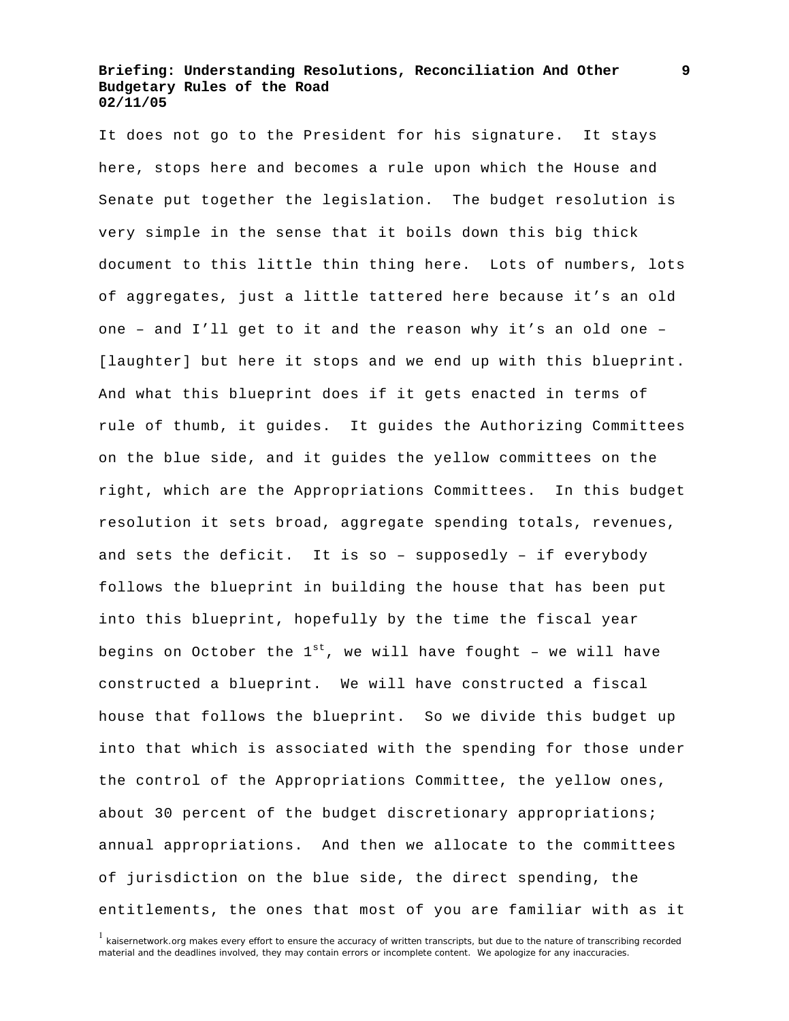It does not go to the President for his signature. It stays here, stops here and becomes a rule upon which the House and Senate put together the legislation. The budget resolution is very simple in the sense that it boils down this big thick document to this little thin thing here. Lots of numbers, lots of aggregates, just a little tattered here because it's an old one – and I'll get to it and the reason why it's an old one – [laughter] but here it stops and we end up with this blueprint. And what this blueprint does if it gets enacted in terms of rule of thumb, it guides. It guides the Authorizing Committees on the blue side, and it guides the yellow committees on the right, which are the Appropriations Committees. In this budget resolution it sets broad, aggregate spending totals, revenues, and sets the deficit. It is so – supposedly – if everybody follows the blueprint in building the house that has been put into this blueprint, hopefully by the time the fiscal year begins on October the  $1^{st}$ , we will have fought - we will have constructed a blueprint. We will have constructed a fiscal house that follows the blueprint. So we divide this budget up into that which is associated with the spending for those under the control of the Appropriations Committee, the yellow ones, about 30 percent of the budget discretionary appropriations; annual appropriations. And then we allocate to the committees of jurisdiction on the blue side, the direct spending, the entitlements, the ones that most of you are familiar with as it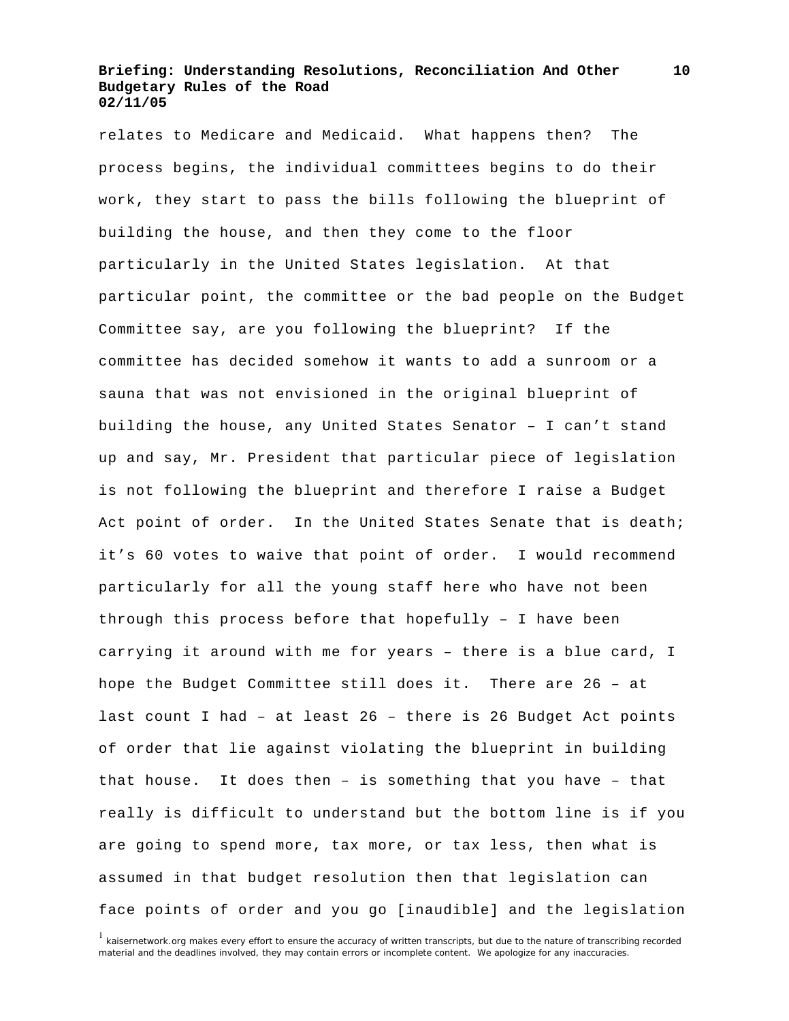relates to Medicare and Medicaid. What happens then? The process begins, the individual committees begins to do their work, they start to pass the bills following the blueprint of building the house, and then they come to the floor particularly in the United States legislation. At that particular point, the committee or the bad people on the Budget Committee say, are you following the blueprint? If the committee has decided somehow it wants to add a sunroom or a sauna that was not envisioned in the original blueprint of building the house, any United States Senator – I can't stand up and say, Mr. President that particular piece of legislation is not following the blueprint and therefore I raise a Budget Act point of order. In the United States Senate that is death; it's 60 votes to waive that point of order. I would recommend particularly for all the young staff here who have not been through this process before that hopefully – I have been carrying it around with me for years – there is a blue card, I hope the Budget Committee still does it. There are 26 – at last count I had – at least 26 – there is 26 Budget Act points of order that lie against violating the blueprint in building that house. It does then – is something that you have – that really is difficult to understand but the bottom line is if you are going to spend more, tax more, or tax less, then what is assumed in that budget resolution then that legislation can face points of order and you go [inaudible] and the legislation

<sup>&</sup>lt;sup>1</sup> kaisernetwork.org makes every effort to ensure the accuracy of written transcripts, but due to the nature of transcribing recorded material and the deadlines involved, they may contain errors or incomplete content. We apologize for any inaccuracies.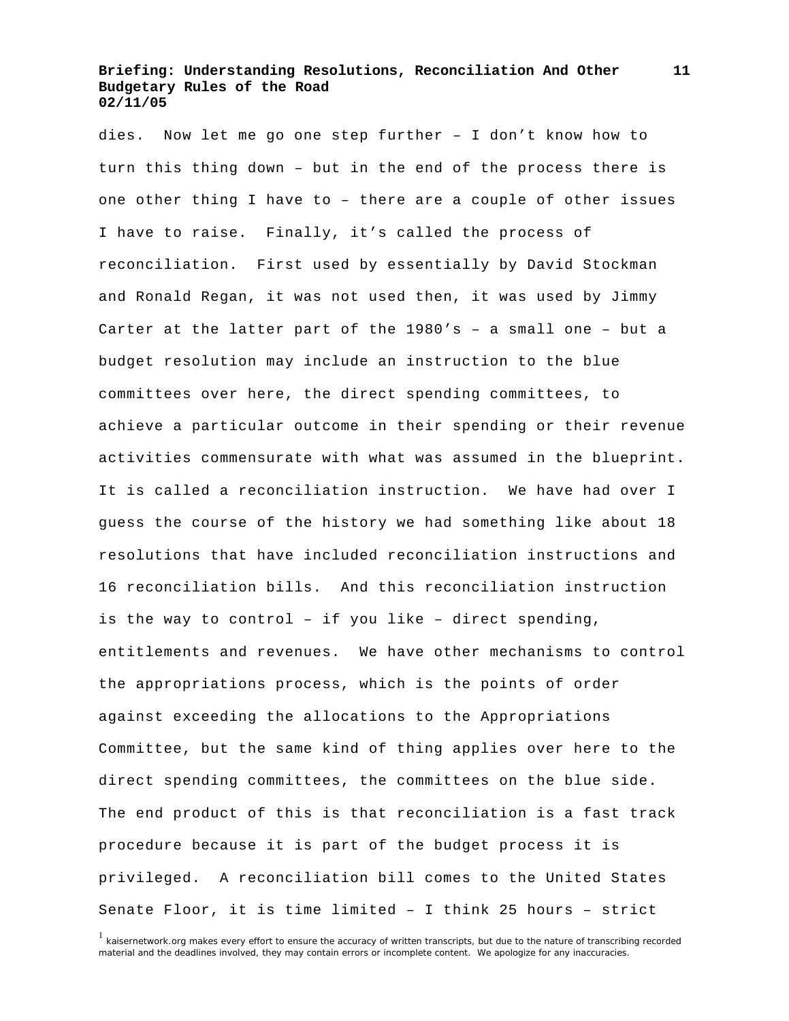dies. Now let me go one step further – I don't know how to turn this thing down – but in the end of the process there is one other thing I have to – there are a couple of other issues I have to raise. Finally, it's called the process of reconciliation. First used by essentially by David Stockman and Ronald Regan, it was not used then, it was used by Jimmy Carter at the latter part of the 1980's – a small one – but a budget resolution may include an instruction to the blue committees over here, the direct spending committees, to achieve a particular outcome in their spending or their revenue activities commensurate with what was assumed in the blueprint. It is called a reconciliation instruction. We have had over I guess the course of the history we had something like about 18 resolutions that have included reconciliation instructions and 16 reconciliation bills. And this reconciliation instruction is the way to control – if you like – direct spending, entitlements and revenues. We have other mechanisms to control the appropriations process, which is the points of order against exceeding the allocations to the Appropriations Committee, but the same kind of thing applies over here to the direct spending committees, the committees on the blue side. The end product of this is that reconciliation is a fast track procedure because it is part of the budget process it is privileged. A reconciliation bill comes to the United States Senate Floor, it is time limited – I think 25 hours – strict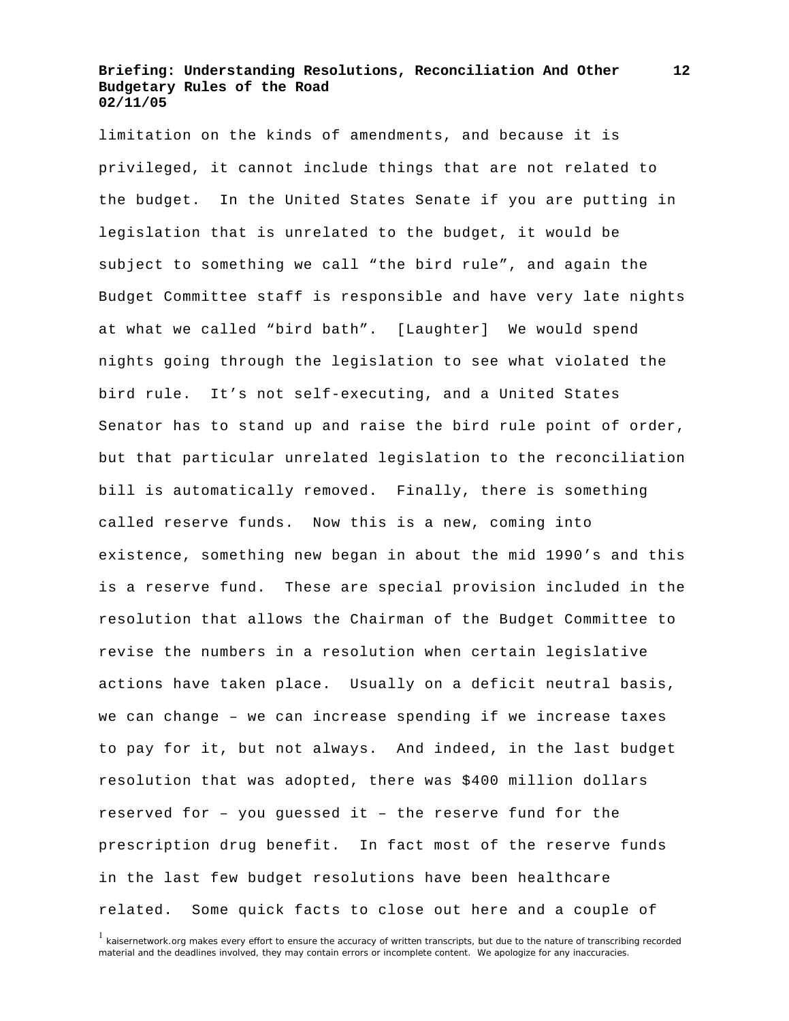limitation on the kinds of amendments, and because it is privileged, it cannot include things that are not related to the budget. In the United States Senate if you are putting in legislation that is unrelated to the budget, it would be subject to something we call "the bird rule", and again the Budget Committee staff is responsible and have very late nights at what we called "bird bath". [Laughter] We would spend nights going through the legislation to see what violated the bird rule. It's not self-executing, and a United States Senator has to stand up and raise the bird rule point of order, but that particular unrelated legislation to the reconciliation bill is automatically removed. Finally, there is something called reserve funds. Now this is a new, coming into existence, something new began in about the mid 1990's and this is a reserve fund. These are special provision included in the resolution that allows the Chairman of the Budget Committee to revise the numbers in a resolution when certain legislative actions have taken place. Usually on a deficit neutral basis, we can change – we can increase spending if we increase taxes to pay for it, but not always. And indeed, in the last budget resolution that was adopted, there was \$400 million dollars reserved for – you guessed it – the reserve fund for the prescription drug benefit. In fact most of the reserve funds in the last few budget resolutions have been healthcare related. Some quick facts to close out here and a couple of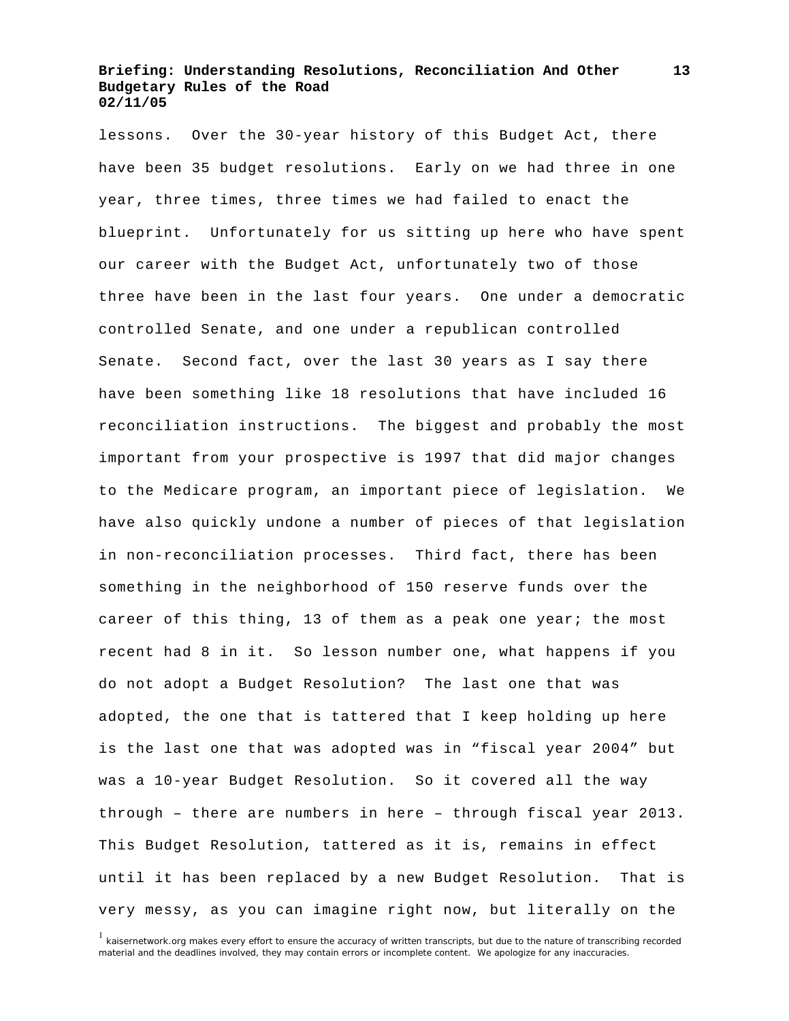lessons. Over the 30-year history of this Budget Act, there have been 35 budget resolutions. Early on we had three in one year, three times, three times we had failed to enact the blueprint. Unfortunately for us sitting up here who have spent our career with the Budget Act, unfortunately two of those three have been in the last four years. One under a democratic controlled Senate, and one under a republican controlled Senate. Second fact, over the last 30 years as I say there have been something like 18 resolutions that have included 16 reconciliation instructions. The biggest and probably the most important from your prospective is 1997 that did major changes to the Medicare program, an important piece of legislation. We have also quickly undone a number of pieces of that legislation in non-reconciliation processes. Third fact, there has been something in the neighborhood of 150 reserve funds over the career of this thing, 13 of them as a peak one year; the most recent had 8 in it. So lesson number one, what happens if you do not adopt a Budget Resolution? The last one that was adopted, the one that is tattered that I keep holding up here is the last one that was adopted was in "fiscal year 2004" but was a 10-year Budget Resolution. So it covered all the way through – there are numbers in here – through fiscal year 2013. This Budget Resolution, tattered as it is, remains in effect until it has been replaced by a new Budget Resolution. That is very messy, as you can imagine right now, but literally on the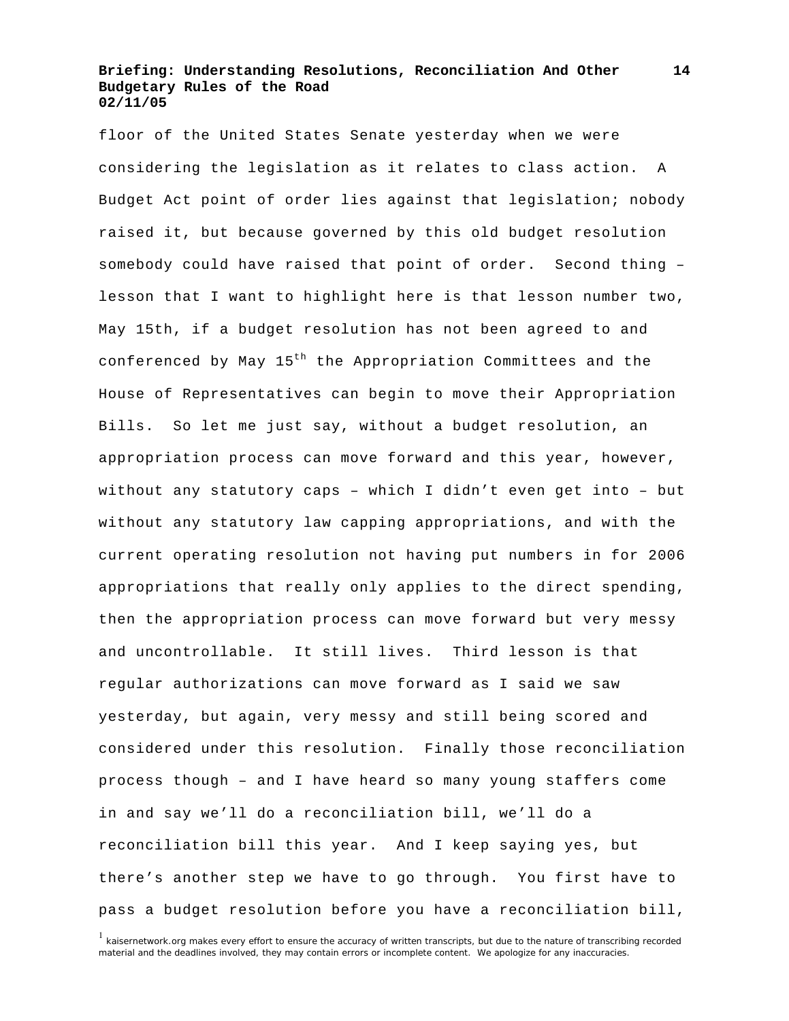floor of the United States Senate yesterday when we were considering the legislation as it relates to class action. A Budget Act point of order lies against that legislation; nobody raised it, but because governed by this old budget resolution somebody could have raised that point of order. Second thing – lesson that I want to highlight here is that lesson number two, May 15th, if a budget resolution has not been agreed to and conferenced by May 15<sup>th</sup> the Appropriation Committees and the House of Representatives can begin to move their Appropriation Bills. So let me just say, without a budget resolution, an appropriation process can move forward and this year, however, without any statutory caps – which I didn't even get into – but without any statutory law capping appropriations, and with the current operating resolution not having put numbers in for 2006 appropriations that really only applies to the direct spending, then the appropriation process can move forward but very messy and uncontrollable. It still lives. Third lesson is that regular authorizations can move forward as I said we saw yesterday, but again, very messy and still being scored and considered under this resolution. Finally those reconciliation process though – and I have heard so many young staffers come in and say we'll do a reconciliation bill, we'll do a reconciliation bill this year. And I keep saying yes, but there's another step we have to go through. You first have to pass a budget resolution before you have a reconciliation bill,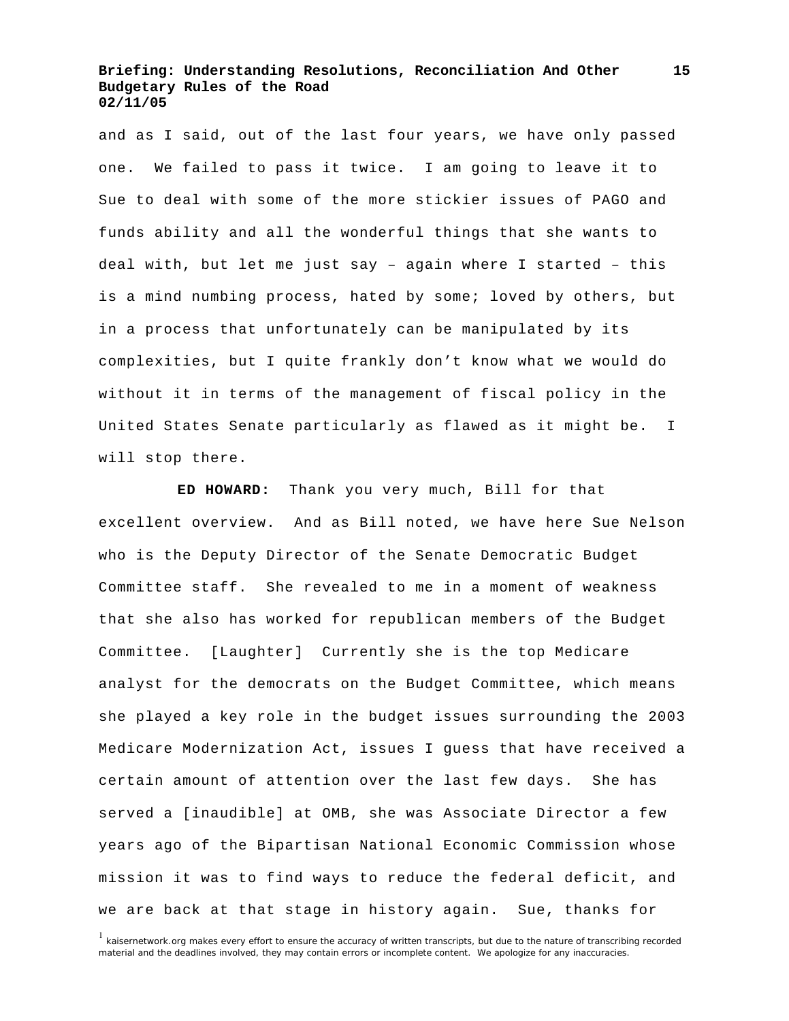and as I said, out of the last four years, we have only passed one. We failed to pass it twice. I am going to leave it to Sue to deal with some of the more stickier issues of PAGO and funds ability and all the wonderful things that she wants to deal with, but let me just say – again where I started – this is a mind numbing process, hated by some; loved by others, but in a process that unfortunately can be manipulated by its complexities, but I quite frankly don't know what we would do without it in terms of the management of fiscal policy in the United States Senate particularly as flawed as it might be. I will stop there.

 **ED HOWARD:** Thank you very much, Bill for that excellent overview. And as Bill noted, we have here Sue Nelson who is the Deputy Director of the Senate Democratic Budget Committee staff. She revealed to me in a moment of weakness that she also has worked for republican members of the Budget Committee. [Laughter] Currently she is the top Medicare analyst for the democrats on the Budget Committee, which means she played a key role in the budget issues surrounding the 2003 Medicare Modernization Act, issues I guess that have received a certain amount of attention over the last few days. She has served a [inaudible] at OMB, she was Associate Director a few years ago of the Bipartisan National Economic Commission whose mission it was to find ways to reduce the federal deficit, and we are back at that stage in history again. Sue, thanks for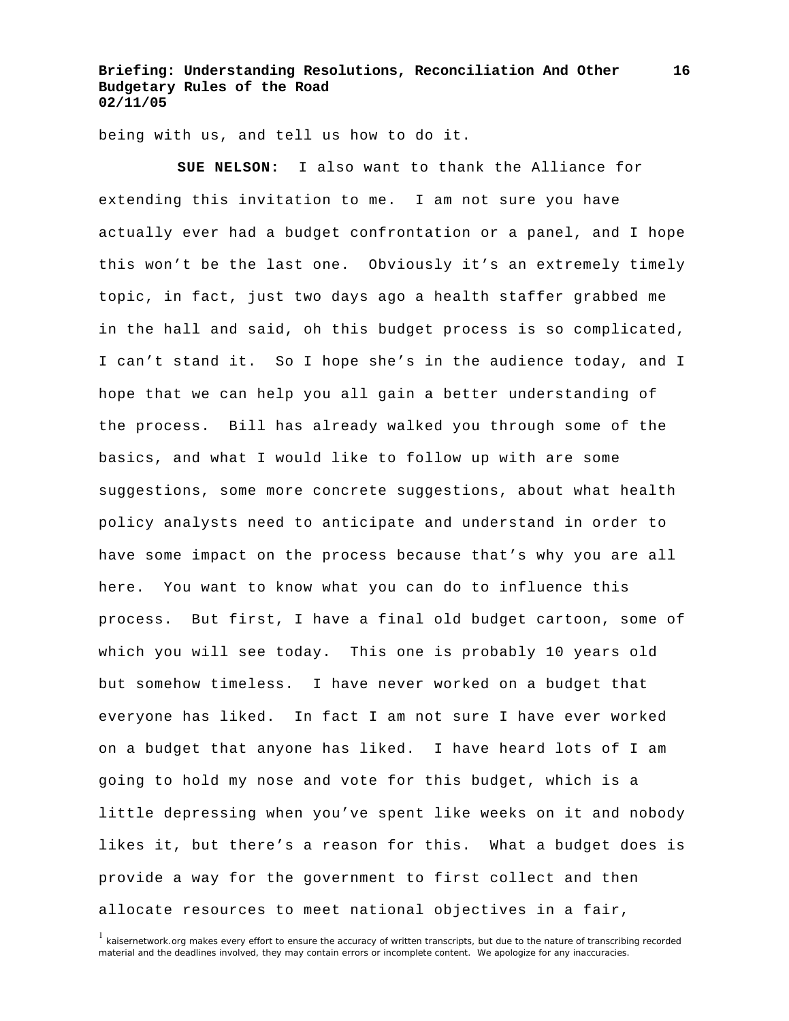being with us, and tell us how to do it.

 **SUE NELSON:** I also want to thank the Alliance for extending this invitation to me. I am not sure you have actually ever had a budget confrontation or a panel, and I hope this won't be the last one. Obviously it's an extremely timely topic, in fact, just two days ago a health staffer grabbed me in the hall and said, oh this budget process is so complicated, I can't stand it. So I hope she's in the audience today, and I hope that we can help you all gain a better understanding of the process. Bill has already walked you through some of the basics, and what I would like to follow up with are some suggestions, some more concrete suggestions, about what health policy analysts need to anticipate and understand in order to have some impact on the process because that's why you are all here. You want to know what you can do to influence this process. But first, I have a final old budget cartoon, some of which you will see today. This one is probably 10 years old but somehow timeless. I have never worked on a budget that everyone has liked. In fact I am not sure I have ever worked on a budget that anyone has liked. I have heard lots of I am going to hold my nose and vote for this budget, which is a little depressing when you've spent like weeks on it and nobody likes it, but there's a reason for this. What a budget does is provide a way for the government to first collect and then allocate resources to meet national objectives in a fair,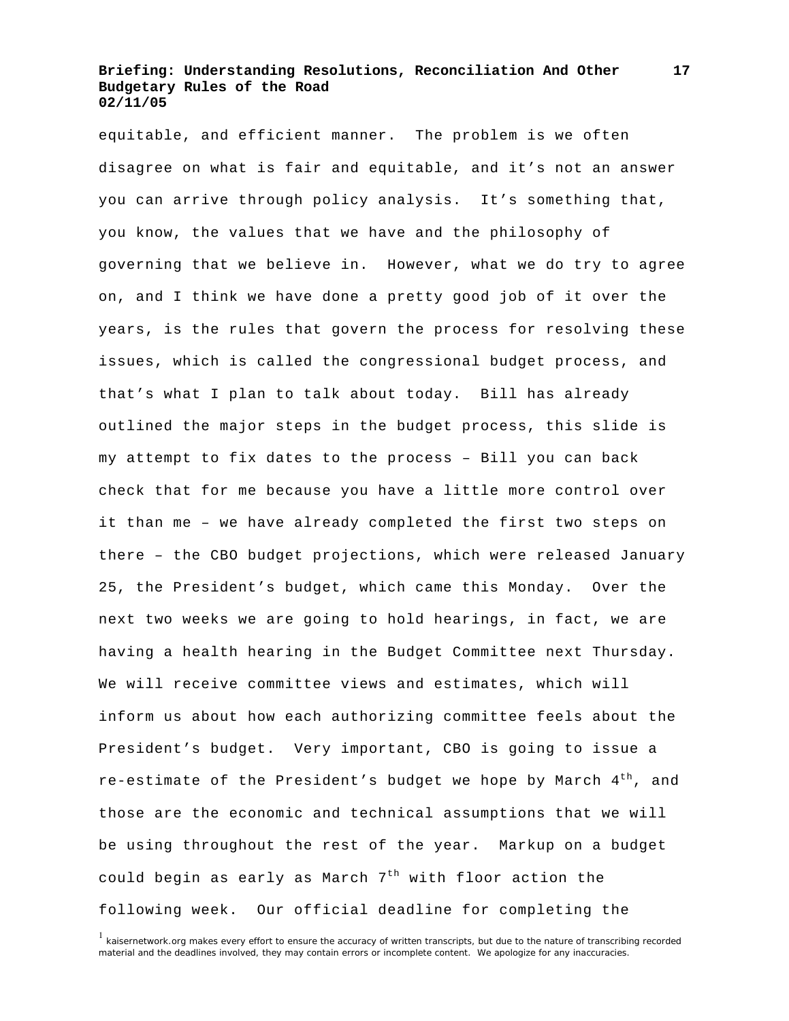equitable, and efficient manner. The problem is we often disagree on what is fair and equitable, and it's not an answer you can arrive through policy analysis. It's something that, you know, the values that we have and the philosophy of governing that we believe in. However, what we do try to agree on, and I think we have done a pretty good job of it over the years, is the rules that govern the process for resolving these issues, which is called the congressional budget process, and that's what I plan to talk about today. Bill has already outlined the major steps in the budget process, this slide is my attempt to fix dates to the process – Bill you can back check that for me because you have a little more control over it than me – we have already completed the first two steps on there – the CBO budget projections, which were released January 25, the President's budget, which came this Monday. Over the next two weeks we are going to hold hearings, in fact, we are having a health hearing in the Budget Committee next Thursday. We will receive committee views and estimates, which will inform us about how each authorizing committee feels about the President's budget. Very important, CBO is going to issue a re-estimate of the President's budget we hope by March  $4<sup>th</sup>$ , and those are the economic and technical assumptions that we will be using throughout the rest of the year. Markup on a budget could begin as early as March  $7<sup>th</sup>$  with floor action the following week. Our official deadline for completing the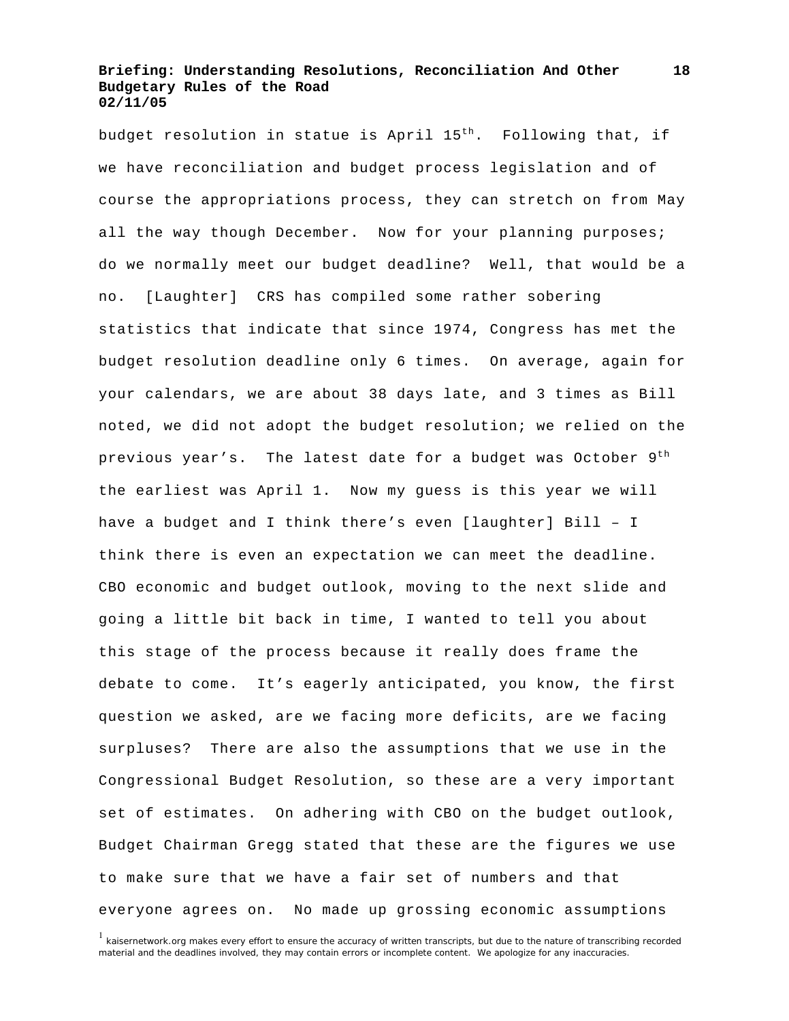budget resolution in statue is April  $15<sup>th</sup>$ . Following that, if we have reconciliation and budget process legislation and of course the appropriations process, they can stretch on from May all the way though December. Now for your planning purposes; do we normally meet our budget deadline? Well, that would be a no. [Laughter] CRS has compiled some rather sobering statistics that indicate that since 1974, Congress has met the budget resolution deadline only 6 times. On average, again for your calendars, we are about 38 days late, and 3 times as Bill noted, we did not adopt the budget resolution; we relied on the previous year's. The latest date for a budget was October  $9<sup>th</sup>$ the earliest was April 1. Now my guess is this year we will have a budget and I think there's even [laughter] Bill – I think there is even an expectation we can meet the deadline. CBO economic and budget outlook, moving to the next slide and going a little bit back in time, I wanted to tell you about this stage of the process because it really does frame the debate to come. It's eagerly anticipated, you know, the first question we asked, are we facing more deficits, are we facing surpluses? There are also the assumptions that we use in the Congressional Budget Resolution, so these are a very important set of estimates. On adhering with CBO on the budget outlook, Budget Chairman Gregg stated that these are the figures we use to make sure that we have a fair set of numbers and that everyone agrees on. No made up grossing economic assumptions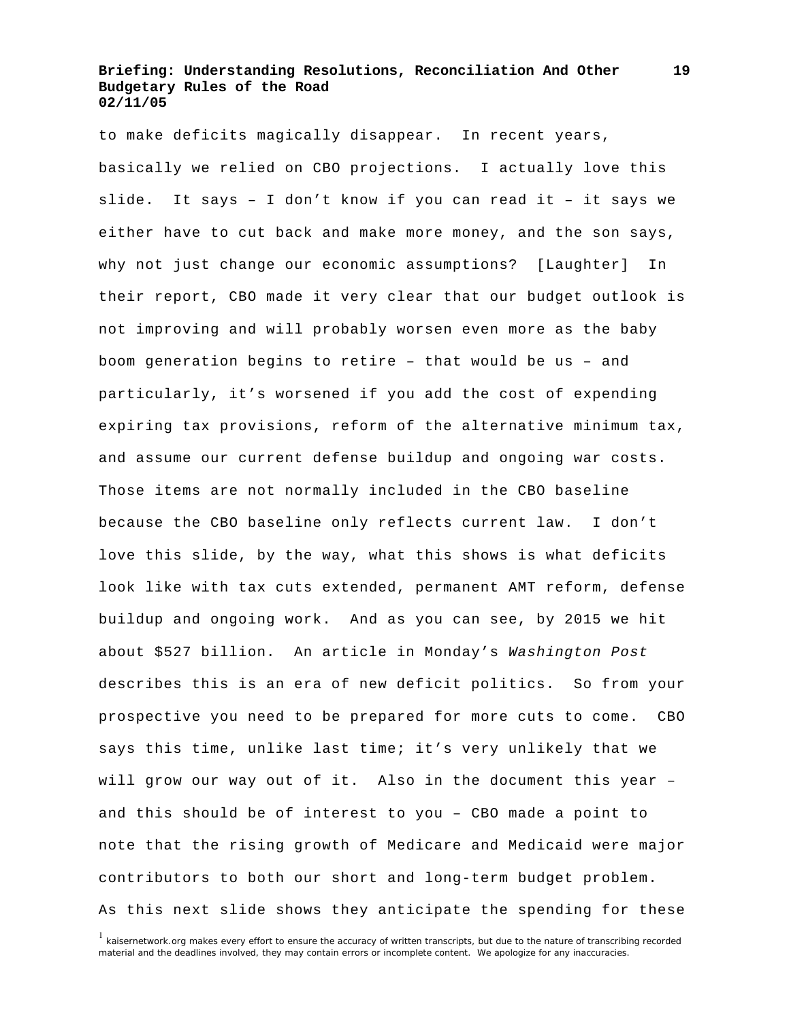to make deficits magically disappear. In recent years, basically we relied on CBO projections. I actually love this slide. It says – I don't know if you can read it – it says we either have to cut back and make more money, and the son says, why not just change our economic assumptions? [Laughter] In their report, CBO made it very clear that our budget outlook is not improving and will probably worsen even more as the baby boom generation begins to retire – that would be us – and particularly, it's worsened if you add the cost of expending expiring tax provisions, reform of the alternative minimum tax, and assume our current defense buildup and ongoing war costs. Those items are not normally included in the CBO baseline because the CBO baseline only reflects current law. I don't love this slide, by the way, what this shows is what deficits look like with tax cuts extended, permanent AMT reform, defense buildup and ongoing work. And as you can see, by 2015 we hit about \$527 billion. An article in Monday's *Washington Post*  describes this is an era of new deficit politics. So from your prospective you need to be prepared for more cuts to come. CBO says this time, unlike last time; it's very unlikely that we will grow our way out of it. Also in the document this year – and this should be of interest to you – CBO made a point to note that the rising growth of Medicare and Medicaid were major contributors to both our short and long-term budget problem. As this next slide shows they anticipate the spending for these

<sup>&</sup>lt;sup>1</sup> kaisernetwork.org makes every effort to ensure the accuracy of written transcripts, but due to the nature of transcribing recorded material and the deadlines involved, they may contain errors or incomplete content. We apologize for any inaccuracies.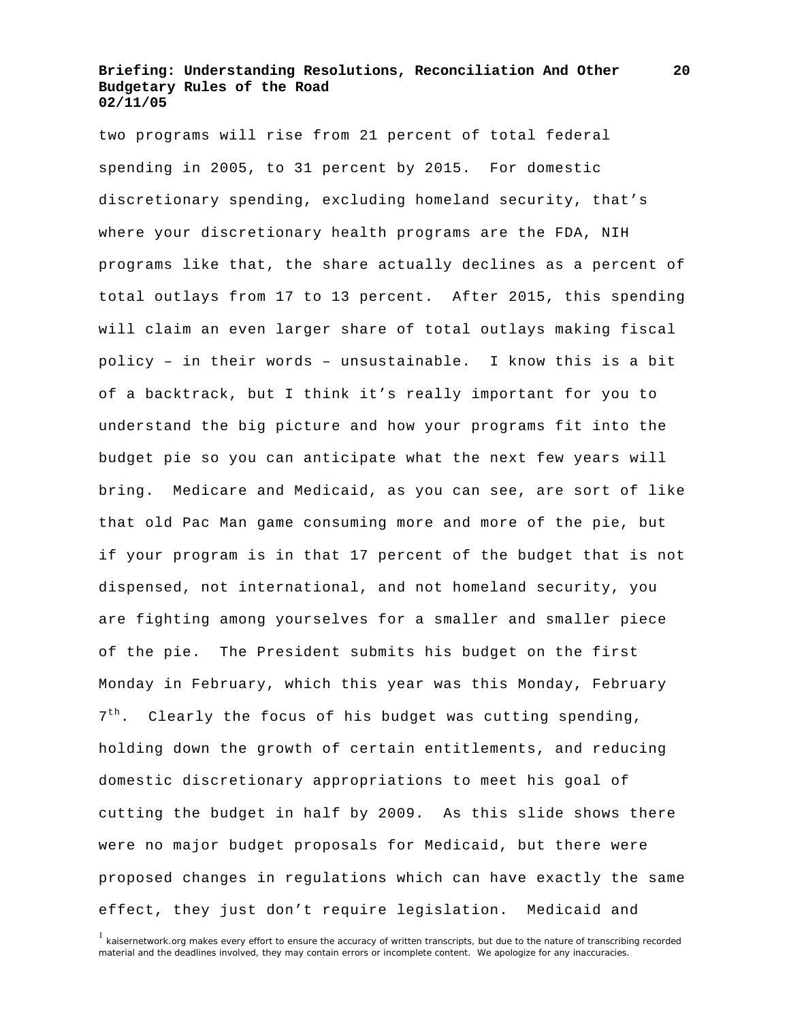two programs will rise from 21 percent of total federal spending in 2005, to 31 percent by 2015. For domestic discretionary spending, excluding homeland security, that's where your discretionary health programs are the FDA, NIH programs like that, the share actually declines as a percent of total outlays from 17 to 13 percent. After 2015, this spending will claim an even larger share of total outlays making fiscal policy – in their words – unsustainable. I know this is a bit of a backtrack, but I think it's really important for you to understand the big picture and how your programs fit into the budget pie so you can anticipate what the next few years will bring. Medicare and Medicaid, as you can see, are sort of like that old Pac Man game consuming more and more of the pie, but if your program is in that 17 percent of the budget that is not dispensed, not international, and not homeland security, you are fighting among yourselves for a smaller and smaller piece of the pie. The President submits his budget on the first Monday in February, which this year was this Monday, February 7<sup>th</sup>. Clearly the focus of his budget was cutting spending, holding down the growth of certain entitlements, and reducing domestic discretionary appropriations to meet his goal of cutting the budget in half by 2009. As this slide shows there were no major budget proposals for Medicaid, but there were proposed changes in regulations which can have exactly the same effect, they just don't require legislation. Medicaid and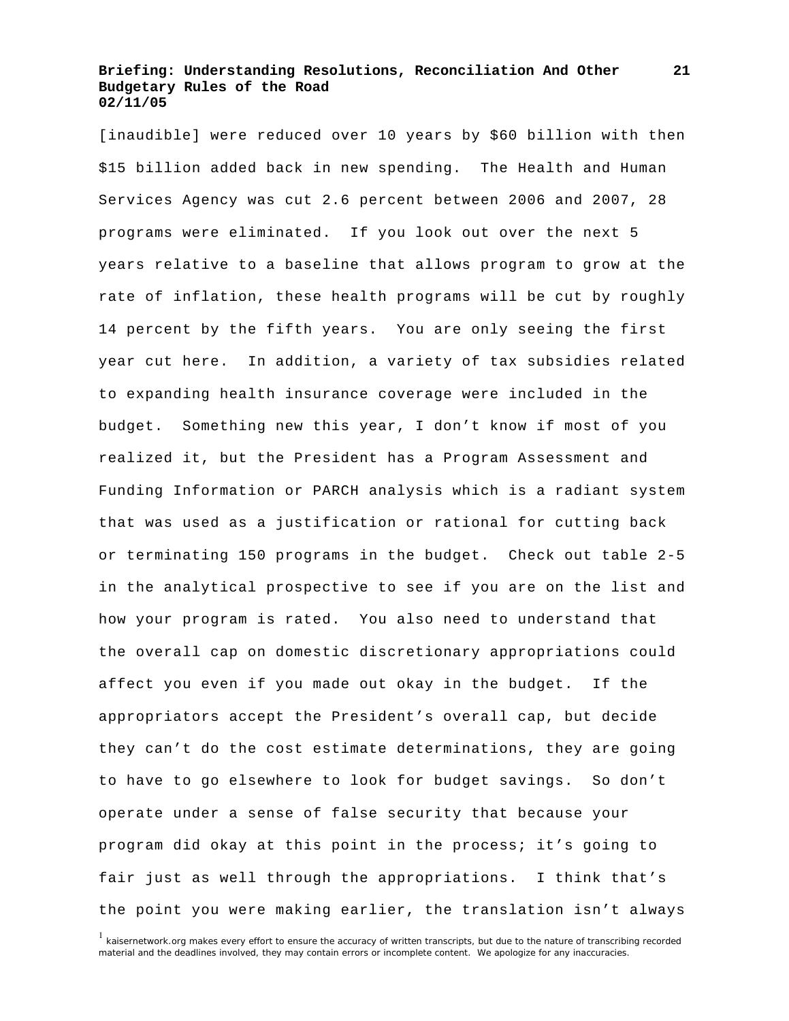[inaudible] were reduced over 10 years by \$60 billion with then \$15 billion added back in new spending. The Health and Human Services Agency was cut 2.6 percent between 2006 and 2007, 28 programs were eliminated. If you look out over the next 5 years relative to a baseline that allows program to grow at the rate of inflation, these health programs will be cut by roughly 14 percent by the fifth years. You are only seeing the first year cut here. In addition, a variety of tax subsidies related to expanding health insurance coverage were included in the budget. Something new this year, I don't know if most of you realized it, but the President has a Program Assessment and Funding Information or PARCH analysis which is a radiant system that was used as a justification or rational for cutting back or terminating 150 programs in the budget. Check out table 2-5 in the analytical prospective to see if you are on the list and how your program is rated. You also need to understand that the overall cap on domestic discretionary appropriations could affect you even if you made out okay in the budget. If the appropriators accept the President's overall cap, but decide they can't do the cost estimate determinations, they are going to have to go elsewhere to look for budget savings. So don't operate under a sense of false security that because your program did okay at this point in the process; it's going to fair just as well through the appropriations. I think that's the point you were making earlier, the translation isn't always

<sup>&</sup>lt;sup>1</sup> kaisernetwork.org makes every effort to ensure the accuracy of written transcripts, but due to the nature of transcribing recorded material and the deadlines involved, they may contain errors or incomplete content. We apologize for any inaccuracies.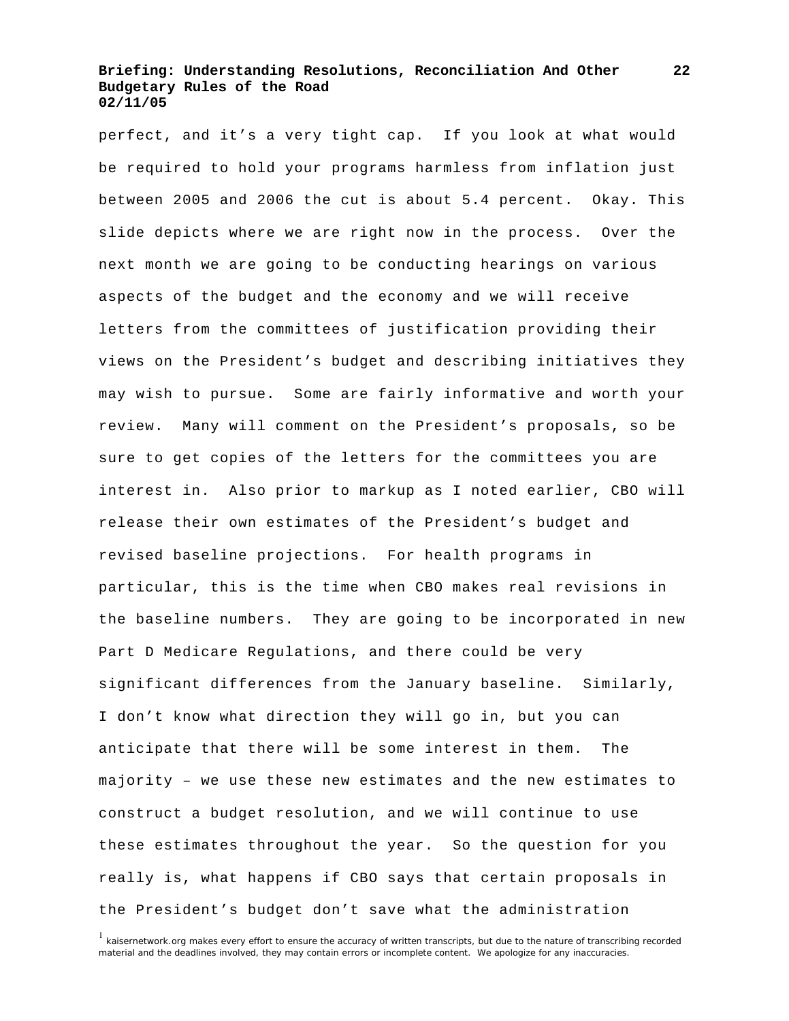perfect, and it's a very tight cap. If you look at what would be required to hold your programs harmless from inflation just between 2005 and 2006 the cut is about 5.4 percent. Okay. This slide depicts where we are right now in the process. Over the next month we are going to be conducting hearings on various aspects of the budget and the economy and we will receive letters from the committees of justification providing their views on the President's budget and describing initiatives they may wish to pursue. Some are fairly informative and worth your review. Many will comment on the President's proposals, so be sure to get copies of the letters for the committees you are interest in. Also prior to markup as I noted earlier, CBO will release their own estimates of the President's budget and revised baseline projections. For health programs in particular, this is the time when CBO makes real revisions in the baseline numbers. They are going to be incorporated in new Part D Medicare Regulations, and there could be very significant differences from the January baseline. Similarly, I don't know what direction they will go in, but you can anticipate that there will be some interest in them. The majority – we use these new estimates and the new estimates to construct a budget resolution, and we will continue to use these estimates throughout the year. So the question for you really is, what happens if CBO says that certain proposals in the President's budget don't save what the administration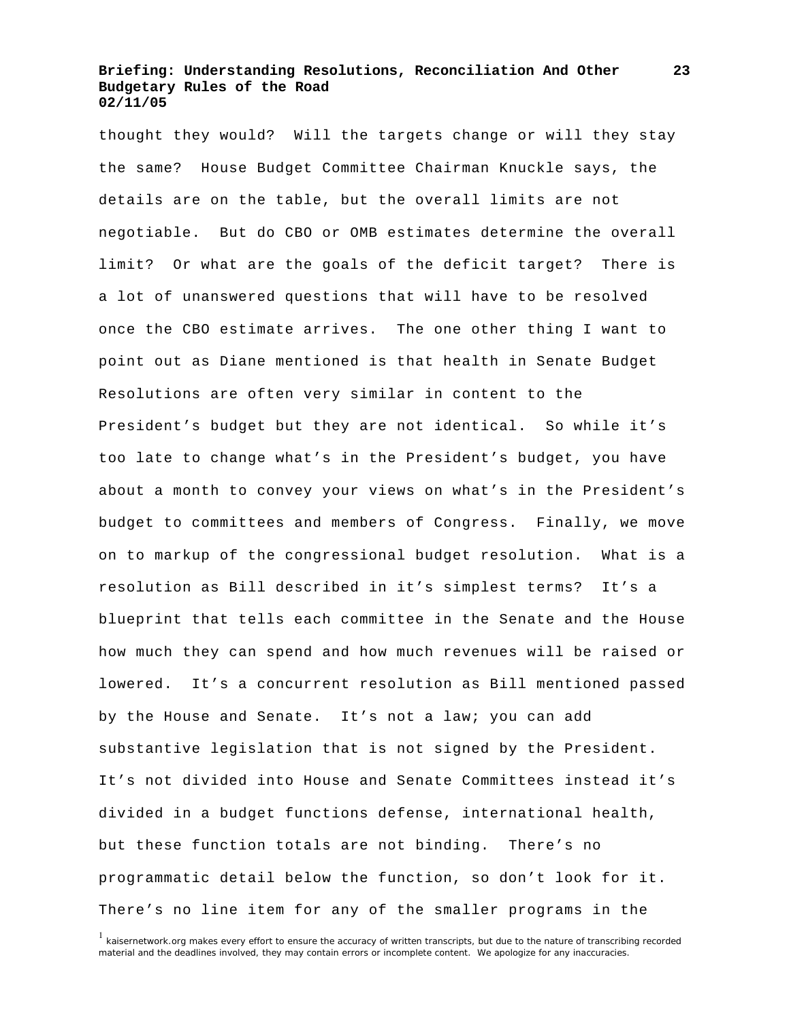thought they would? Will the targets change or will they stay the same? House Budget Committee Chairman Knuckle says, the details are on the table, but the overall limits are not negotiable. But do CBO or OMB estimates determine the overall limit? Or what are the goals of the deficit target? There is a lot of unanswered questions that will have to be resolved once the CBO estimate arrives. The one other thing I want to point out as Diane mentioned is that health in Senate Budget Resolutions are often very similar in content to the President's budget but they are not identical. So while it's too late to change what's in the President's budget, you have about a month to convey your views on what's in the President's budget to committees and members of Congress. Finally, we move on to markup of the congressional budget resolution. What is a resolution as Bill described in it's simplest terms? It's a blueprint that tells each committee in the Senate and the House how much they can spend and how much revenues will be raised or lowered. It's a concurrent resolution as Bill mentioned passed by the House and Senate. It's not a law; you can add substantive legislation that is not signed by the President. It's not divided into House and Senate Committees instead it's divided in a budget functions defense, international health, but these function totals are not binding. There's no programmatic detail below the function, so don't look for it. There's no line item for any of the smaller programs in the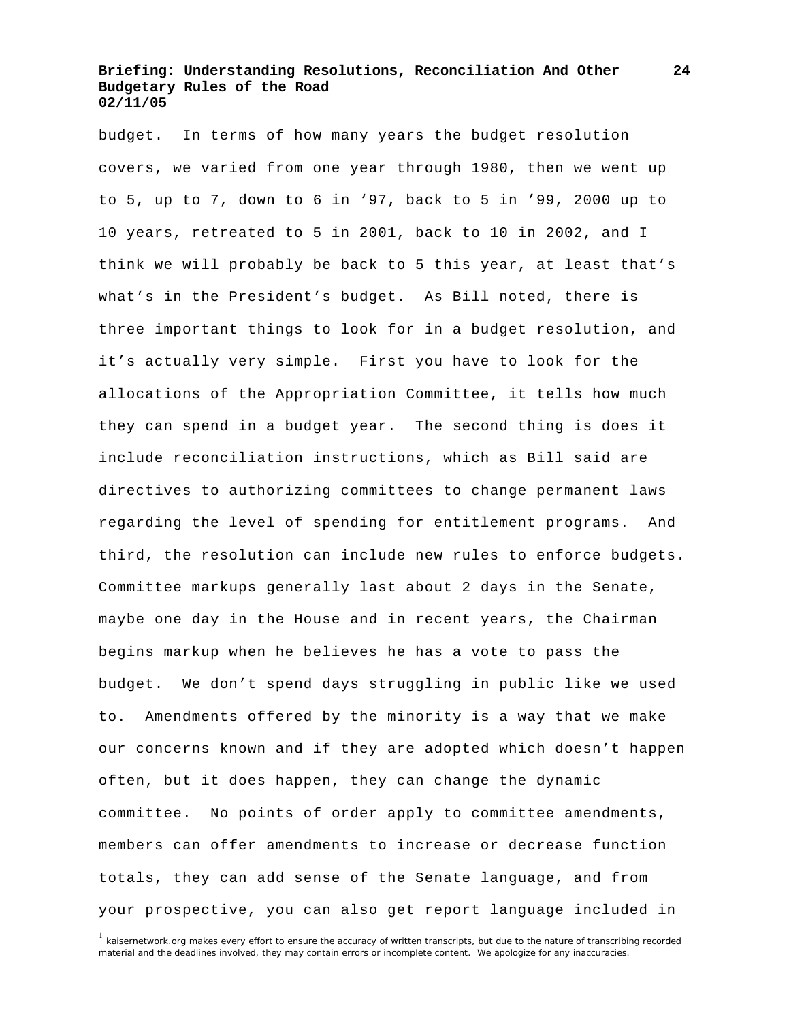budget. In terms of how many years the budget resolution covers, we varied from one year through 1980, then we went up to 5, up to 7, down to 6 in '97, back to 5 in '99, 2000 up to 10 years, retreated to 5 in 2001, back to 10 in 2002, and I think we will probably be back to 5 this year, at least that's what's in the President's budget. As Bill noted, there is three important things to look for in a budget resolution, and it's actually very simple. First you have to look for the allocations of the Appropriation Committee, it tells how much they can spend in a budget year. The second thing is does it include reconciliation instructions, which as Bill said are directives to authorizing committees to change permanent laws regarding the level of spending for entitlement programs. And third, the resolution can include new rules to enforce budgets. Committee markups generally last about 2 days in the Senate, maybe one day in the House and in recent years, the Chairman begins markup when he believes he has a vote to pass the budget. We don't spend days struggling in public like we used to. Amendments offered by the minority is a way that we make our concerns known and if they are adopted which doesn't happen often, but it does happen, they can change the dynamic committee. No points of order apply to committee amendments, members can offer amendments to increase or decrease function totals, they can add sense of the Senate language, and from your prospective, you can also get report language included in

<sup>&</sup>lt;sup>1</sup> kaisernetwork.org makes every effort to ensure the accuracy of written transcripts, but due to the nature of transcribing recorded material and the deadlines involved, they may contain errors or incomplete content. We apologize for any inaccuracies.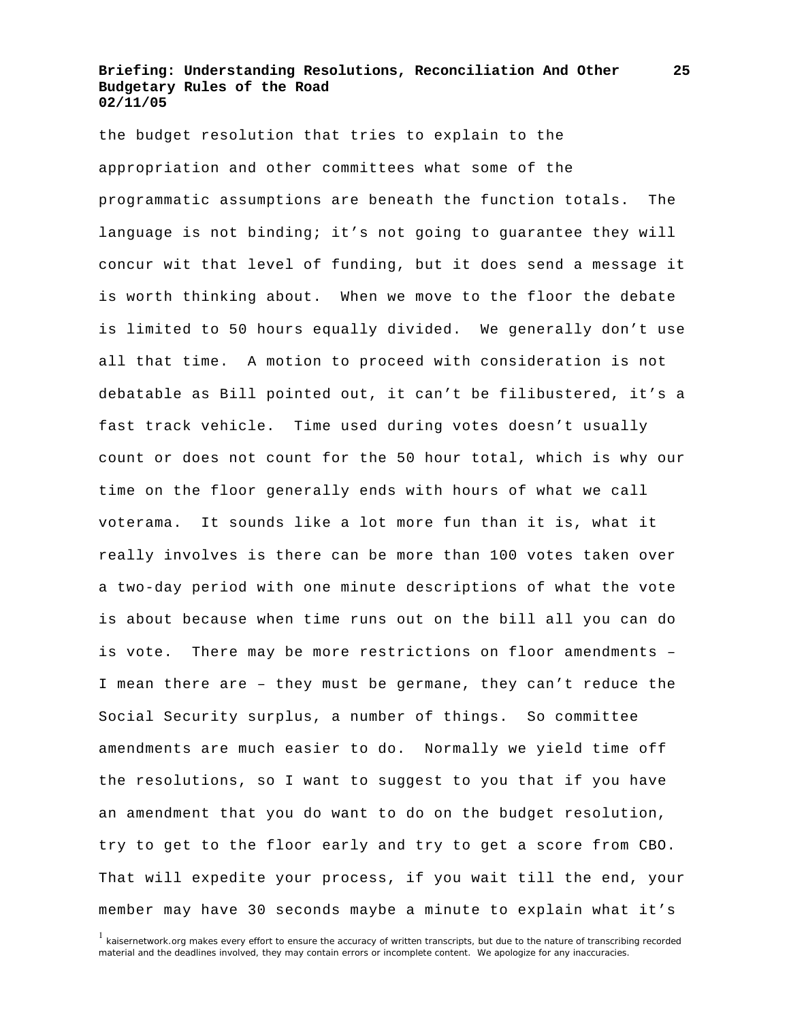the budget resolution that tries to explain to the appropriation and other committees what some of the programmatic assumptions are beneath the function totals. The language is not binding; it's not going to guarantee they will concur wit that level of funding, but it does send a message it is worth thinking about. When we move to the floor the debate is limited to 50 hours equally divided. We generally don't use all that time. A motion to proceed with consideration is not debatable as Bill pointed out, it can't be filibustered, it's a fast track vehicle. Time used during votes doesn't usually count or does not count for the 50 hour total, which is why our time on the floor generally ends with hours of what we call voterama. It sounds like a lot more fun than it is, what it really involves is there can be more than 100 votes taken over a two-day period with one minute descriptions of what the vote is about because when time runs out on the bill all you can do is vote. There may be more restrictions on floor amendments – I mean there are – they must be germane, they can't reduce the Social Security surplus, a number of things. So committee amendments are much easier to do. Normally we yield time off the resolutions, so I want to suggest to you that if you have an amendment that you do want to do on the budget resolution, try to get to the floor early and try to get a score from CBO. That will expedite your process, if you wait till the end, your member may have 30 seconds maybe a minute to explain what it's

<sup>&</sup>lt;sup>1</sup> kaisernetwork.org makes every effort to ensure the accuracy of written transcripts, but due to the nature of transcribing recorded material and the deadlines involved, they may contain errors or incomplete content. We apologize for any inaccuracies.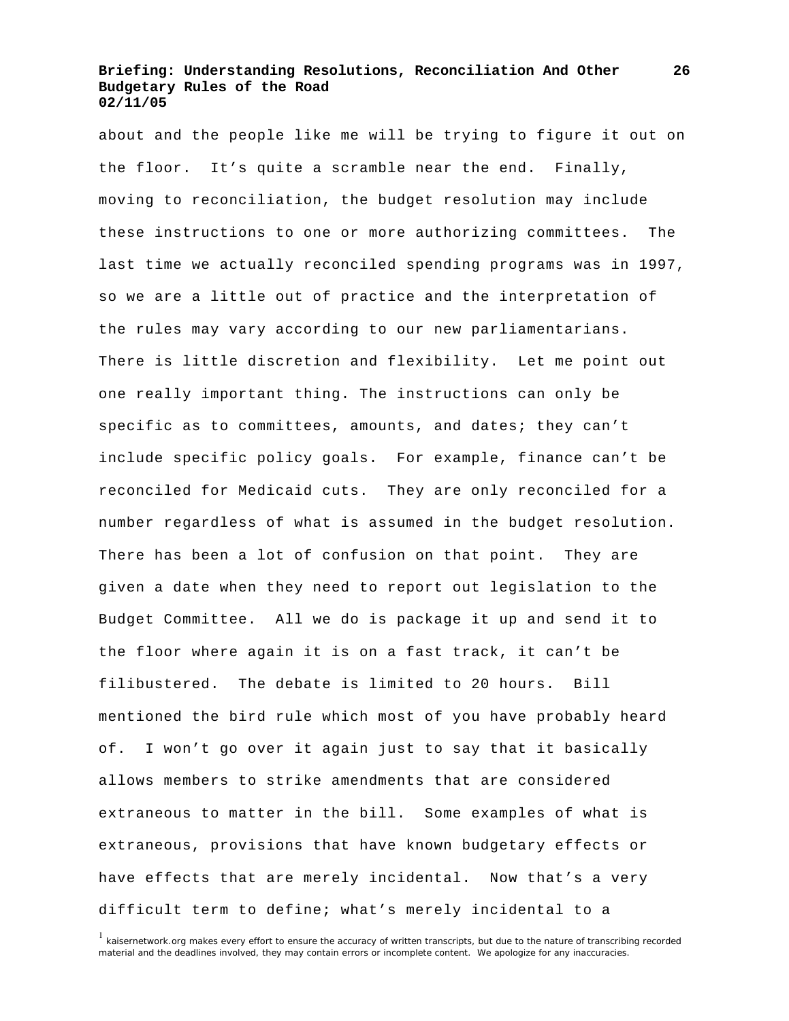about and the people like me will be trying to figure it out on the floor. It's quite a scramble near the end. Finally, moving to reconciliation, the budget resolution may include these instructions to one or more authorizing committees. The last time we actually reconciled spending programs was in 1997, so we are a little out of practice and the interpretation of the rules may vary according to our new parliamentarians. There is little discretion and flexibility. Let me point out one really important thing. The instructions can only be specific as to committees, amounts, and dates; they can't include specific policy goals. For example, finance can't be reconciled for Medicaid cuts. They are only reconciled for a number regardless of what is assumed in the budget resolution. There has been a lot of confusion on that point. They are given a date when they need to report out legislation to the Budget Committee. All we do is package it up and send it to the floor where again it is on a fast track, it can't be filibustered. The debate is limited to 20 hours. Bill mentioned the bird rule which most of you have probably heard of. I won't go over it again just to say that it basically allows members to strike amendments that are considered extraneous to matter in the bill. Some examples of what is extraneous, provisions that have known budgetary effects or have effects that are merely incidental. Now that's a very difficult term to define; what's merely incidental to a

<sup>&</sup>lt;sup>1</sup> kaisernetwork.org makes every effort to ensure the accuracy of written transcripts, but due to the nature of transcribing recorded material and the deadlines involved, they may contain errors or incomplete content. We apologize for any inaccuracies.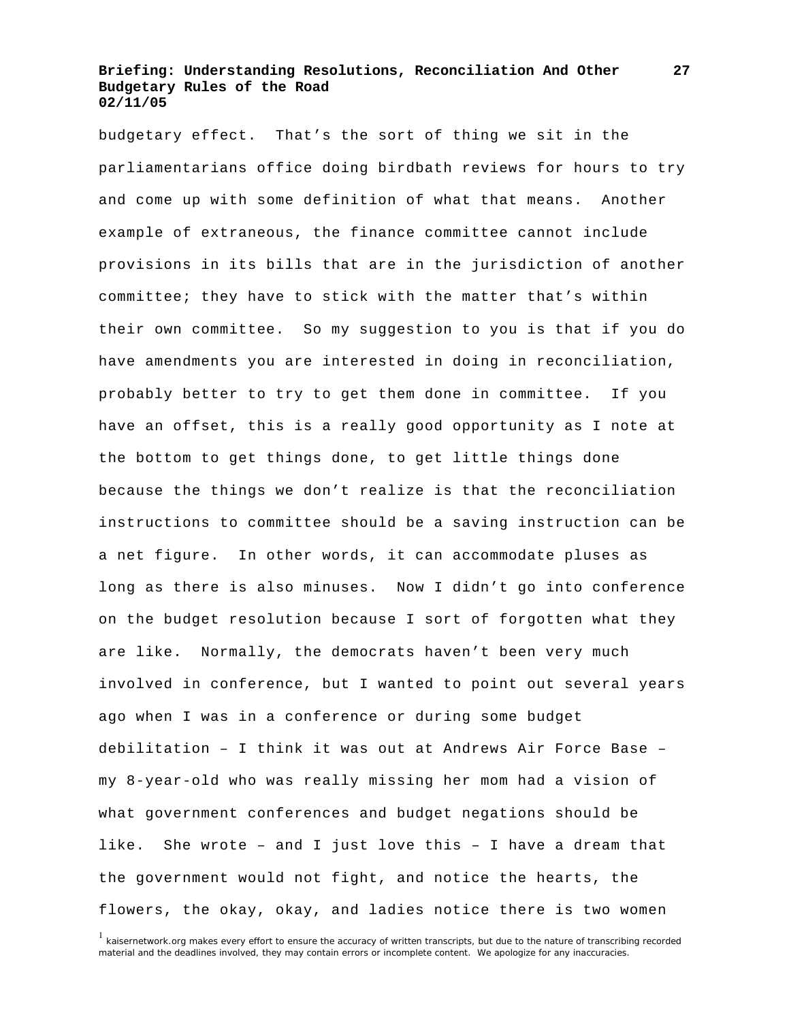budgetary effect. That's the sort of thing we sit in the parliamentarians office doing birdbath reviews for hours to try and come up with some definition of what that means. Another example of extraneous, the finance committee cannot include provisions in its bills that are in the jurisdiction of another committee; they have to stick with the matter that's within their own committee. So my suggestion to you is that if you do have amendments you are interested in doing in reconciliation, probably better to try to get them done in committee. If you have an offset, this is a really good opportunity as I note at the bottom to get things done, to get little things done because the things we don't realize is that the reconciliation instructions to committee should be a saving instruction can be a net figure. In other words, it can accommodate pluses as long as there is also minuses. Now I didn't go into conference on the budget resolution because I sort of forgotten what they are like. Normally, the democrats haven't been very much involved in conference, but I wanted to point out several years ago when I was in a conference or during some budget debilitation – I think it was out at Andrews Air Force Base – my 8-year-old who was really missing her mom had a vision of what government conferences and budget negations should be like. She wrote – and I just love this – I have a dream that the government would not fight, and notice the hearts, the flowers, the okay, okay, and ladies notice there is two women

<sup>&</sup>lt;sup>1</sup> kaisernetwork.org makes every effort to ensure the accuracy of written transcripts, but due to the nature of transcribing recorded material and the deadlines involved, they may contain errors or incomplete content. We apologize for any inaccuracies.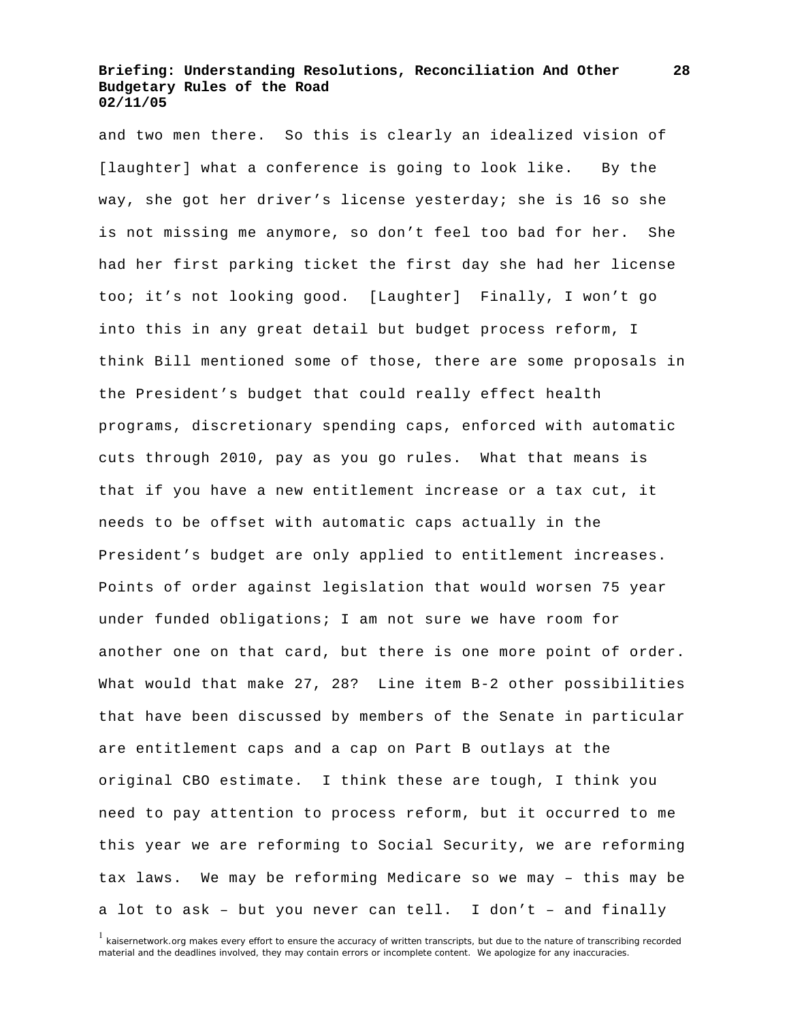and two men there. So this is clearly an idealized vision of [laughter] what a conference is going to look like. By the way, she got her driver's license yesterday; she is 16 so she is not missing me anymore, so don't feel too bad for her. She had her first parking ticket the first day she had her license too; it's not looking good. [Laughter] Finally, I won't go into this in any great detail but budget process reform, I think Bill mentioned some of those, there are some proposals in the President's budget that could really effect health programs, discretionary spending caps, enforced with automatic cuts through 2010, pay as you go rules. What that means is that if you have a new entitlement increase or a tax cut, it needs to be offset with automatic caps actually in the President's budget are only applied to entitlement increases. Points of order against legislation that would worsen 75 year under funded obligations; I am not sure we have room for another one on that card, but there is one more point of order. What would that make 27, 28? Line item B-2 other possibilities that have been discussed by members of the Senate in particular are entitlement caps and a cap on Part B outlays at the original CBO estimate. I think these are tough, I think you need to pay attention to process reform, but it occurred to me this year we are reforming to Social Security, we are reforming tax laws. We may be reforming Medicare so we may – this may be a lot to ask – but you never can tell. I don't – and finally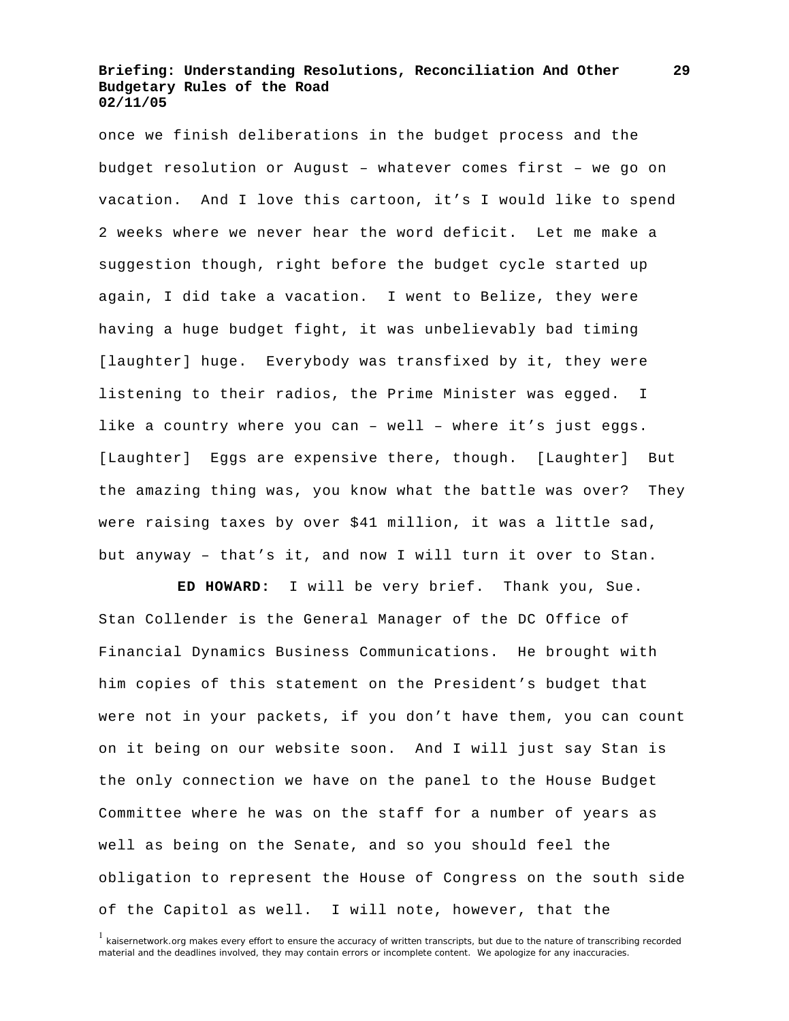once we finish deliberations in the budget process and the budget resolution or August – whatever comes first – we go on vacation. And I love this cartoon, it's I would like to spend 2 weeks where we never hear the word deficit. Let me make a suggestion though, right before the budget cycle started up again, I did take a vacation. I went to Belize, they were having a huge budget fight, it was unbelievably bad timing [laughter] huge. Everybody was transfixed by it, they were listening to their radios, the Prime Minister was egged. I like a country where you can – well – where it's just eggs. [Laughter] Eggs are expensive there, though. [Laughter] But the amazing thing was, you know what the battle was over? They were raising taxes by over \$41 million, it was a little sad, but anyway – that's it, and now I will turn it over to Stan.

 **ED HOWARD:** I will be very brief. Thank you, Sue. Stan Collender is the General Manager of the DC Office of Financial Dynamics Business Communications. He brought with him copies of this statement on the President's budget that were not in your packets, if you don't have them, you can count on it being on our website soon. And I will just say Stan is the only connection we have on the panel to the House Budget Committee where he was on the staff for a number of years as well as being on the Senate, and so you should feel the obligation to represent the House of Congress on the south side of the Capitol as well. I will note, however, that the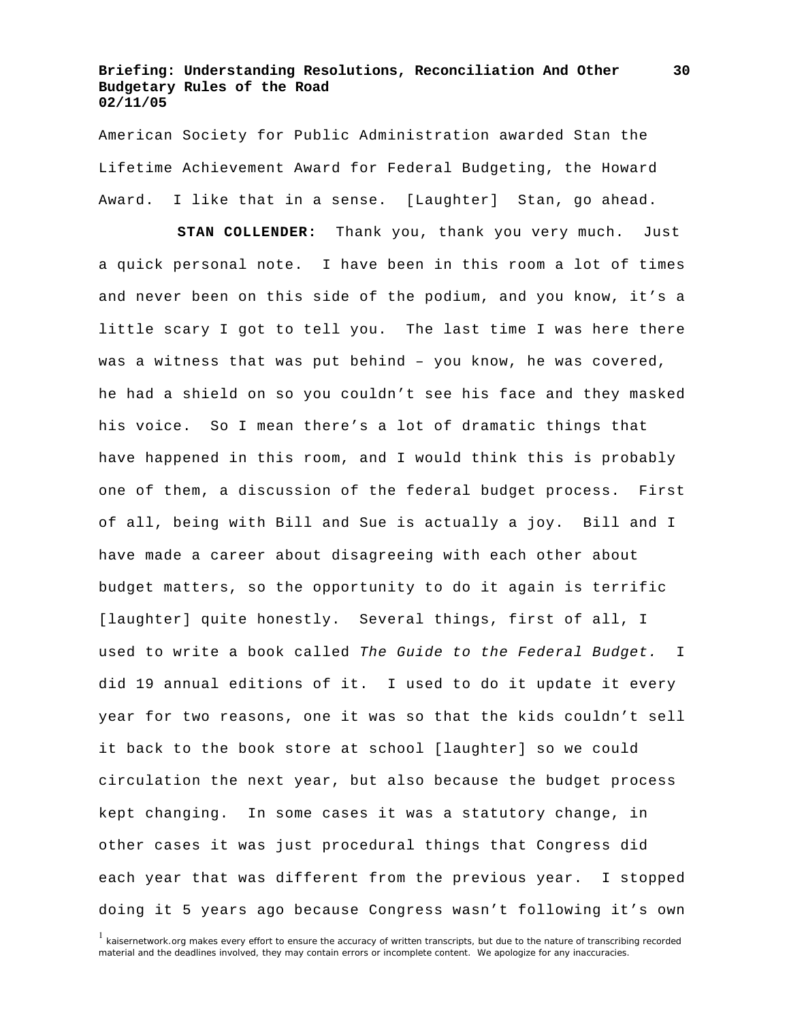American Society for Public Administration awarded Stan the Lifetime Achievement Award for Federal Budgeting, the Howard Award. I like that in a sense. [Laughter] Stan, go ahead.

 **STAN COLLENDER:** Thank you, thank you very much. Just a quick personal note. I have been in this room a lot of times and never been on this side of the podium, and you know, it's a little scary I got to tell you. The last time I was here there was a witness that was put behind – you know, he was covered, he had a shield on so you couldn't see his face and they masked his voice. So I mean there's a lot of dramatic things that have happened in this room, and I would think this is probably one of them, a discussion of the federal budget process. First of all, being with Bill and Sue is actually a joy. Bill and I have made a career about disagreeing with each other about budget matters, so the opportunity to do it again is terrific [laughter] quite honestly. Several things, first of all, I used to write a book called *The Guide to the Federal Budget.* I did 19 annual editions of it. I used to do it update it every year for two reasons, one it was so that the kids couldn't sell it back to the book store at school [laughter] so we could circulation the next year, but also because the budget process kept changing. In some cases it was a statutory change, in other cases it was just procedural things that Congress did each year that was different from the previous year. I stopped doing it 5 years ago because Congress wasn't following it's own

<sup>&</sup>lt;sup>1</sup> kaisernetwork.org makes every effort to ensure the accuracy of written transcripts, but due to the nature of transcribing recorded material and the deadlines involved, they may contain errors or incomplete content. We apologize for any inaccuracies.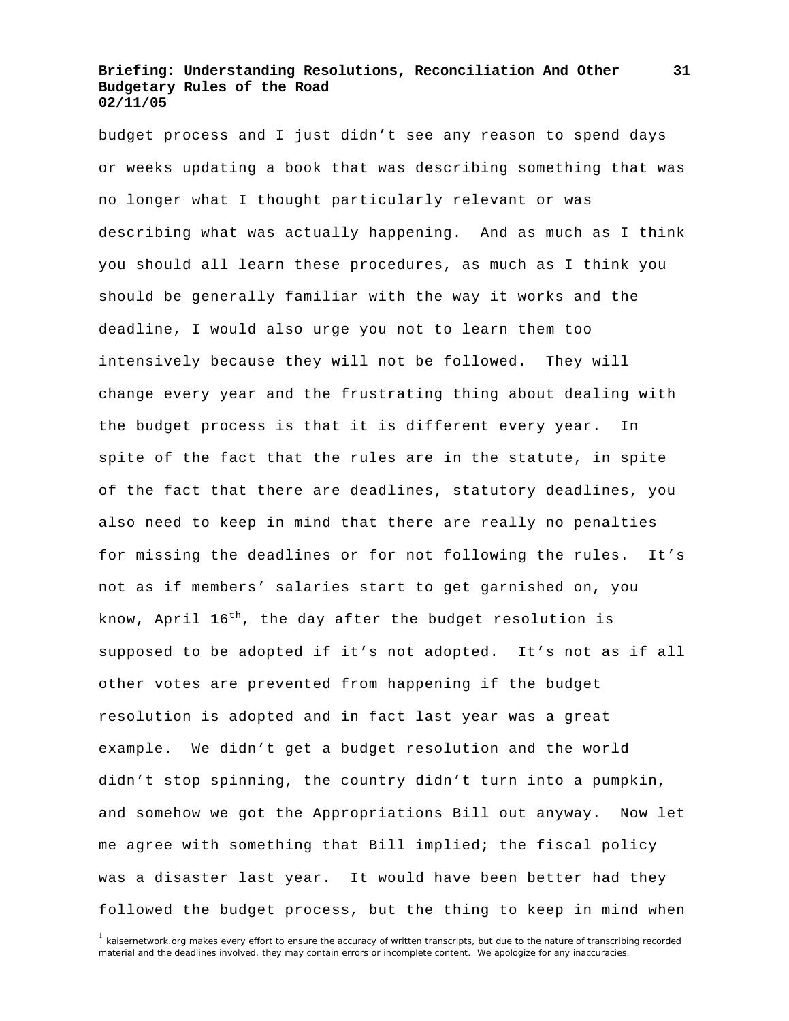budget process and I just didn't see any reason to spend days or weeks updating a book that was describing something that was no longer what I thought particularly relevant or was describing what was actually happening. And as much as I think you should all learn these procedures, as much as I think you should be generally familiar with the way it works and the deadline, I would also urge you not to learn them too intensively because they will not be followed. They will change every year and the frustrating thing about dealing with the budget process is that it is different every year. In spite of the fact that the rules are in the statute, in spite of the fact that there are deadlines, statutory deadlines, you also need to keep in mind that there are really no penalties for missing the deadlines or for not following the rules. It's not as if members' salaries start to get garnished on, you know, April  $16^{th}$ , the day after the budget resolution is supposed to be adopted if it's not adopted. It's not as if all other votes are prevented from happening if the budget resolution is adopted and in fact last year was a great example. We didn't get a budget resolution and the world didn't stop spinning, the country didn't turn into a pumpkin, and somehow we got the Appropriations Bill out anyway. Now let me agree with something that Bill implied; the fiscal policy was a disaster last year. It would have been better had they followed the budget process, but the thing to keep in mind when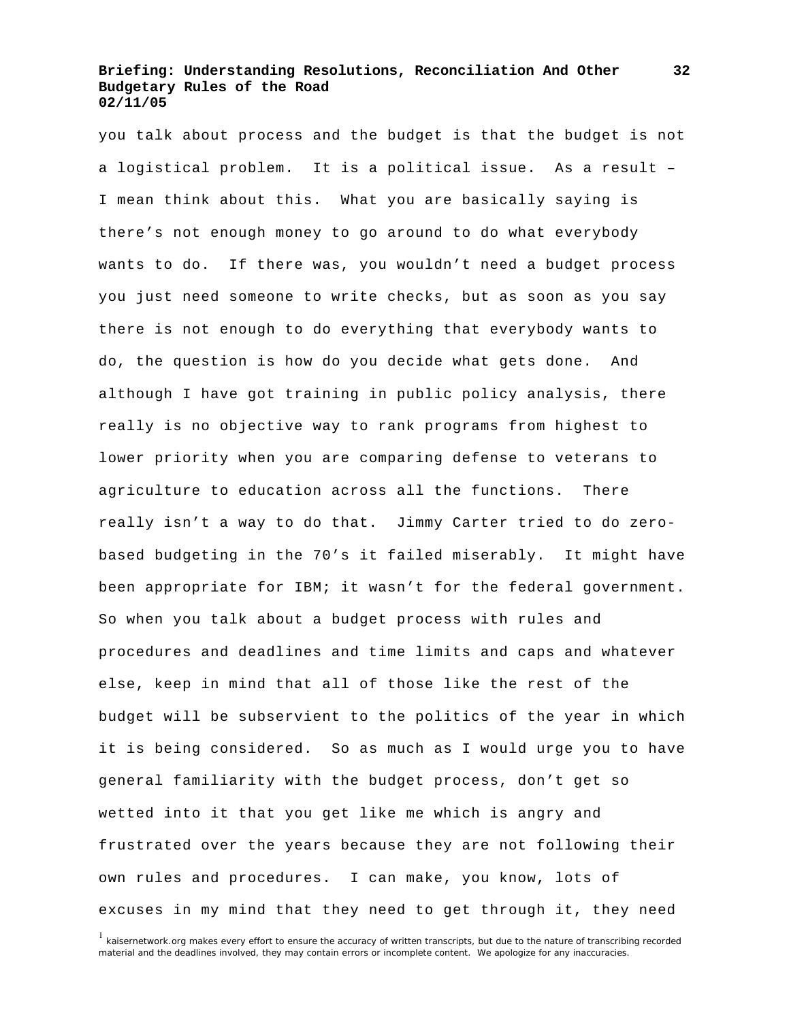you talk about process and the budget is that the budget is not a logistical problem. It is a political issue. As a result – I mean think about this. What you are basically saying is there's not enough money to go around to do what everybody wants to do. If there was, you wouldn't need a budget process you just need someone to write checks, but as soon as you say there is not enough to do everything that everybody wants to do, the question is how do you decide what gets done. And although I have got training in public policy analysis, there really is no objective way to rank programs from highest to lower priority when you are comparing defense to veterans to agriculture to education across all the functions. There really isn't a way to do that. Jimmy Carter tried to do zerobased budgeting in the 70's it failed miserably. It might have been appropriate for IBM; it wasn't for the federal government. So when you talk about a budget process with rules and procedures and deadlines and time limits and caps and whatever else, keep in mind that all of those like the rest of the budget will be subservient to the politics of the year in which it is being considered. So as much as I would urge you to have general familiarity with the budget process, don't get so wetted into it that you get like me which is angry and frustrated over the years because they are not following their own rules and procedures. I can make, you know, lots of excuses in my mind that they need to get through it, they need

<sup>&</sup>lt;sup>1</sup> kaisernetwork.org makes every effort to ensure the accuracy of written transcripts, but due to the nature of transcribing recorded material and the deadlines involved, they may contain errors or incomplete content. We apologize for any inaccuracies.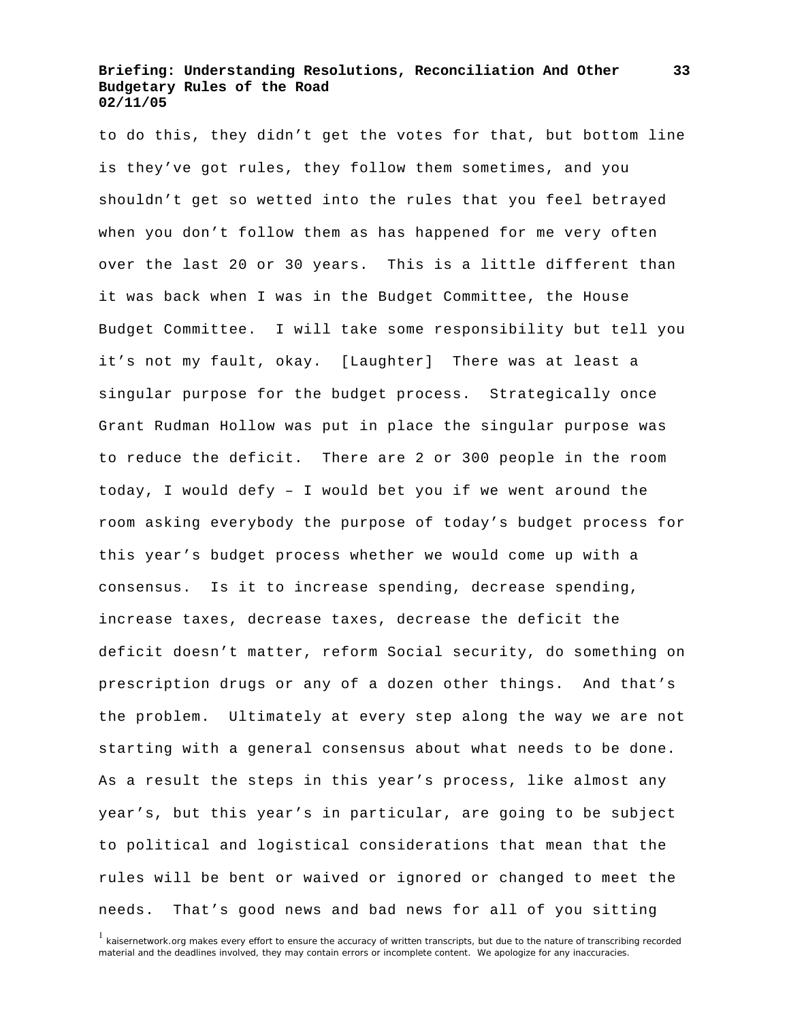to do this, they didn't get the votes for that, but bottom line is they've got rules, they follow them sometimes, and you shouldn't get so wetted into the rules that you feel betrayed when you don't follow them as has happened for me very often over the last 20 or 30 years. This is a little different than it was back when I was in the Budget Committee, the House Budget Committee. I will take some responsibility but tell you it's not my fault, okay. [Laughter] There was at least a singular purpose for the budget process. Strategically once Grant Rudman Hollow was put in place the singular purpose was to reduce the deficit. There are 2 or 300 people in the room today, I would defy – I would bet you if we went around the room asking everybody the purpose of today's budget process for this year's budget process whether we would come up with a consensus. Is it to increase spending, decrease spending, increase taxes, decrease taxes, decrease the deficit the deficit doesn't matter, reform Social security, do something on prescription drugs or any of a dozen other things. And that's the problem. Ultimately at every step along the way we are not starting with a general consensus about what needs to be done. As a result the steps in this year's process, like almost any year's, but this year's in particular, are going to be subject to political and logistical considerations that mean that the rules will be bent or waived or ignored or changed to meet the needs. That's good news and bad news for all of you sitting

<sup>&</sup>lt;sup>1</sup> kaisernetwork.org makes every effort to ensure the accuracy of written transcripts, but due to the nature of transcribing recorded material and the deadlines involved, they may contain errors or incomplete content. We apologize for any inaccuracies.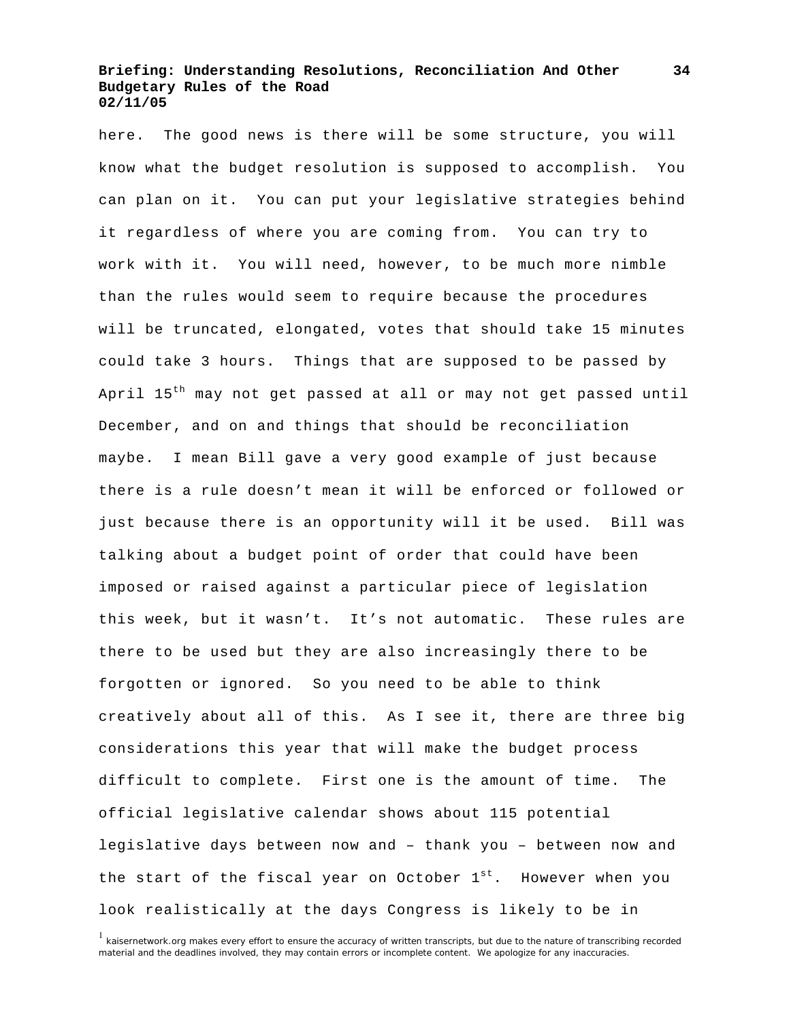here. The good news is there will be some structure, you will know what the budget resolution is supposed to accomplish. You can plan on it. You can put your legislative strategies behind it regardless of where you are coming from. You can try to work with it. You will need, however, to be much more nimble than the rules would seem to require because the procedures will be truncated, elongated, votes that should take 15 minutes could take 3 hours. Things that are supposed to be passed by April 15<sup>th</sup> may not get passed at all or may not get passed until December, and on and things that should be reconciliation maybe. I mean Bill gave a very good example of just because there is a rule doesn't mean it will be enforced or followed or just because there is an opportunity will it be used. Bill was talking about a budget point of order that could have been imposed or raised against a particular piece of legislation this week, but it wasn't. It's not automatic. These rules are there to be used but they are also increasingly there to be forgotten or ignored. So you need to be able to think creatively about all of this. As I see it, there are three big considerations this year that will make the budget process difficult to complete. First one is the amount of time. The official legislative calendar shows about 115 potential legislative days between now and – thank you – between now and the start of the fiscal year on October  $1<sup>st</sup>$ . However when you look realistically at the days Congress is likely to be in

<sup>&</sup>lt;sup>1</sup> kaisernetwork.org makes every effort to ensure the accuracy of written transcripts, but due to the nature of transcribing recorded material and the deadlines involved, they may contain errors or incomplete content. We apologize for any inaccuracies.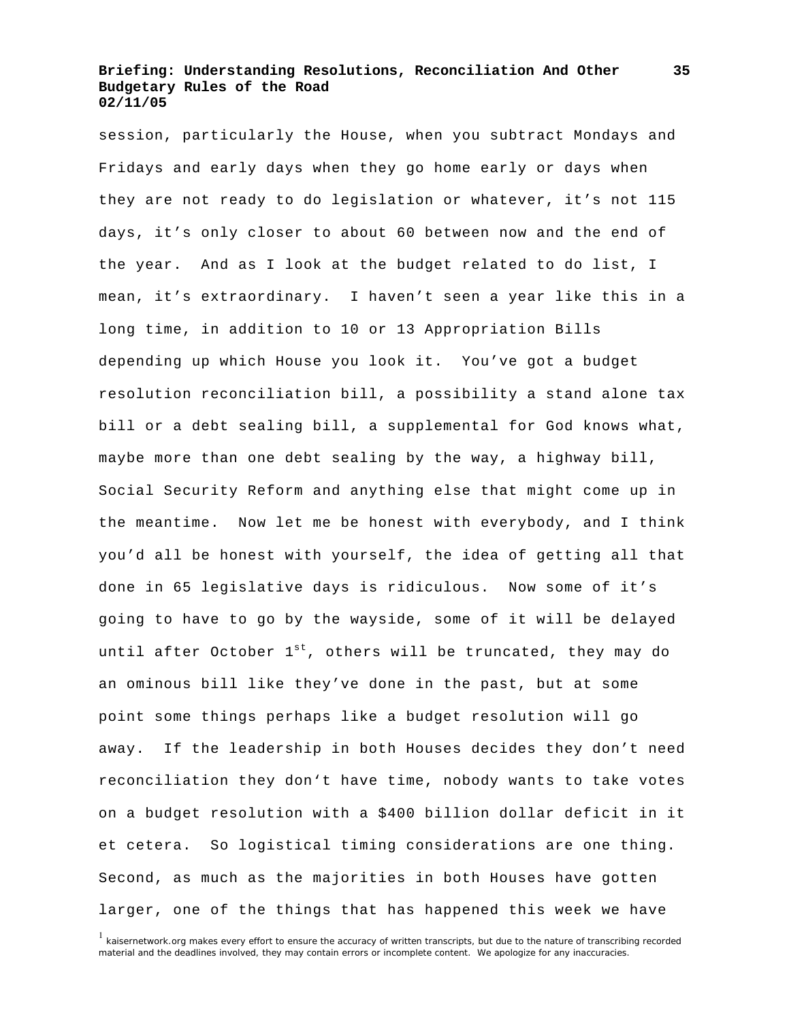session, particularly the House, when you subtract Mondays and Fridays and early days when they go home early or days when they are not ready to do legislation or whatever, it's not 115 days, it's only closer to about 60 between now and the end of the year. And as I look at the budget related to do list, I mean, it's extraordinary. I haven't seen a year like this in a long time, in addition to 10 or 13 Appropriation Bills depending up which House you look it. You've got a budget resolution reconciliation bill, a possibility a stand alone tax bill or a debt sealing bill, a supplemental for God knows what, maybe more than one debt sealing by the way, a highway bill, Social Security Reform and anything else that might come up in the meantime. Now let me be honest with everybody, and I think you'd all be honest with yourself, the idea of getting all that done in 65 legislative days is ridiculous. Now some of it's going to have to go by the wayside, some of it will be delayed until after October  $1^{st}$ , others will be truncated, they may do an ominous bill like they've done in the past, but at some point some things perhaps like a budget resolution will go away. If the leadership in both Houses decides they don't need reconciliation they don't have time, nobody wants to take votes on a budget resolution with a \$400 billion dollar deficit in it et cetera. So logistical timing considerations are one thing. Second, as much as the majorities in both Houses have gotten larger, one of the things that has happened this week we have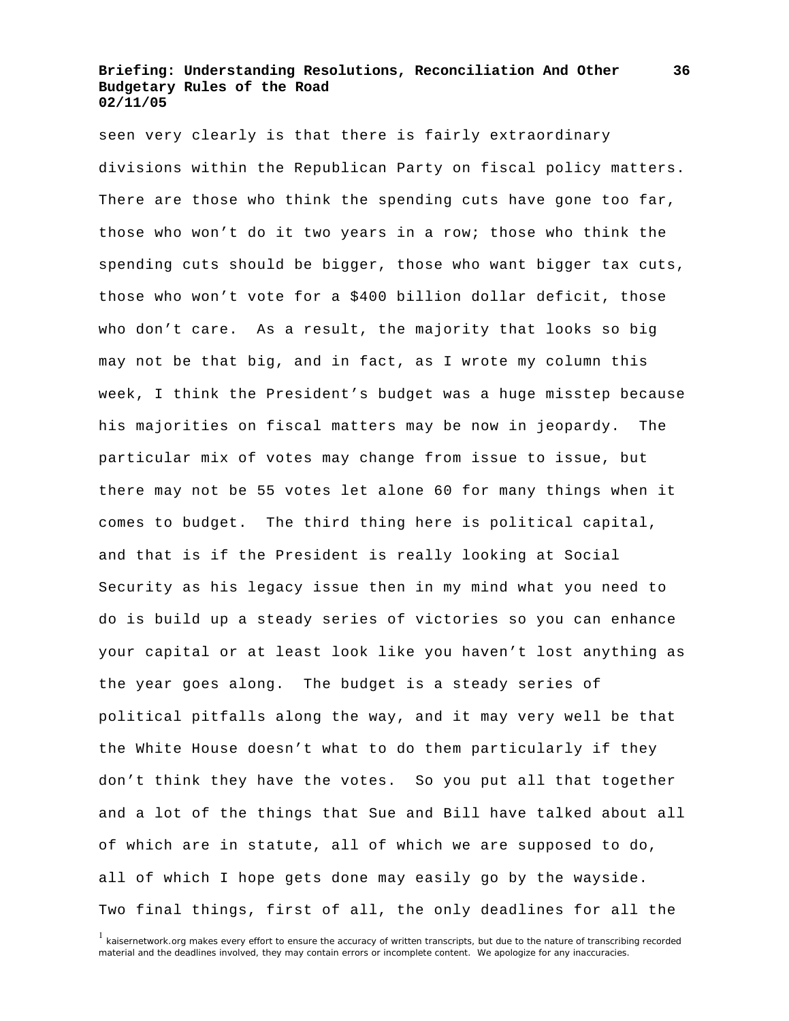seen very clearly is that there is fairly extraordinary divisions within the Republican Party on fiscal policy matters. There are those who think the spending cuts have gone too far, those who won't do it two years in a row; those who think the spending cuts should be bigger, those who want bigger tax cuts, those who won't vote for a \$400 billion dollar deficit, those who don't care. As a result, the majority that looks so big may not be that big, and in fact, as I wrote my column this week, I think the President's budget was a huge misstep because his majorities on fiscal matters may be now in jeopardy. The particular mix of votes may change from issue to issue, but there may not be 55 votes let alone 60 for many things when it comes to budget. The third thing here is political capital, and that is if the President is really looking at Social Security as his legacy issue then in my mind what you need to do is build up a steady series of victories so you can enhance your capital or at least look like you haven't lost anything as the year goes along. The budget is a steady series of political pitfalls along the way, and it may very well be that the White House doesn't what to do them particularly if they don't think they have the votes. So you put all that together and a lot of the things that Sue and Bill have talked about all of which are in statute, all of which we are supposed to do, all of which I hope gets done may easily go by the wayside. Two final things, first of all, the only deadlines for all the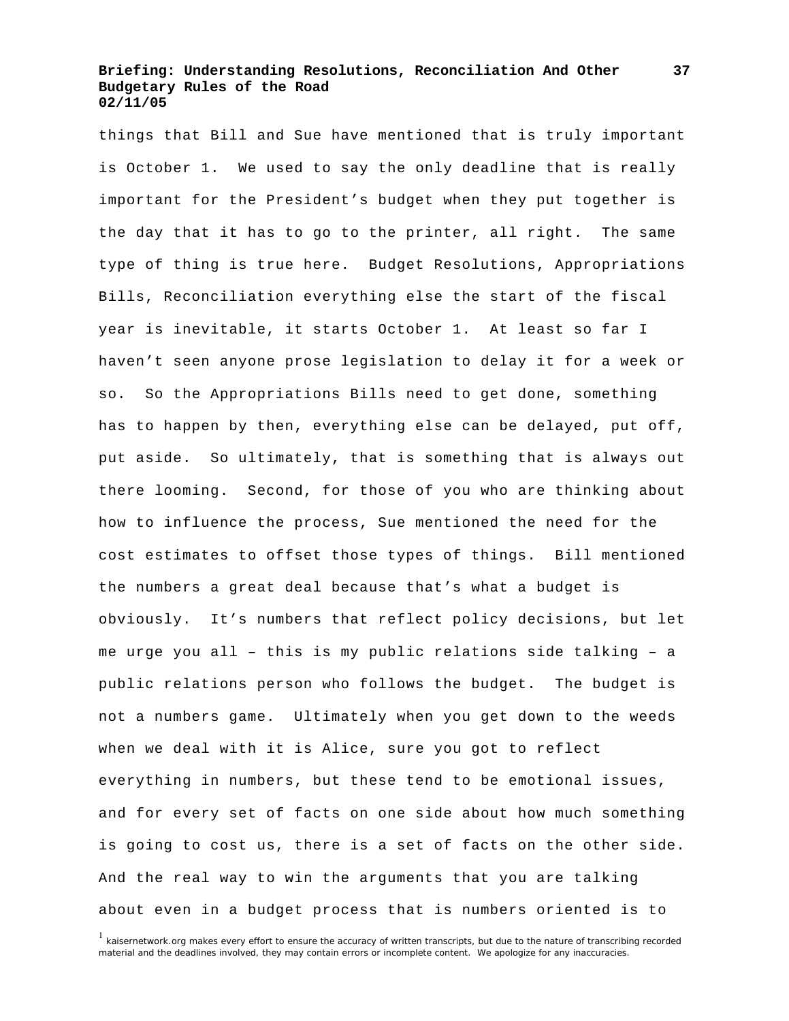things that Bill and Sue have mentioned that is truly important is October 1. We used to say the only deadline that is really important for the President's budget when they put together is the day that it has to go to the printer, all right. The same type of thing is true here. Budget Resolutions, Appropriations Bills, Reconciliation everything else the start of the fiscal year is inevitable, it starts October 1. At least so far I haven't seen anyone prose legislation to delay it for a week or so. So the Appropriations Bills need to get done, something has to happen by then, everything else can be delayed, put off, put aside. So ultimately, that is something that is always out there looming. Second, for those of you who are thinking about how to influence the process, Sue mentioned the need for the cost estimates to offset those types of things. Bill mentioned the numbers a great deal because that's what a budget is obviously. It's numbers that reflect policy decisions, but let me urge you all – this is my public relations side talking – a public relations person who follows the budget. The budget is not a numbers game. Ultimately when you get down to the weeds when we deal with it is Alice, sure you got to reflect everything in numbers, but these tend to be emotional issues, and for every set of facts on one side about how much something is going to cost us, there is a set of facts on the other side. And the real way to win the arguments that you are talking about even in a budget process that is numbers oriented is to

<sup>&</sup>lt;sup>1</sup> kaisernetwork.org makes every effort to ensure the accuracy of written transcripts, but due to the nature of transcribing recorded material and the deadlines involved, they may contain errors or incomplete content. We apologize for any inaccuracies.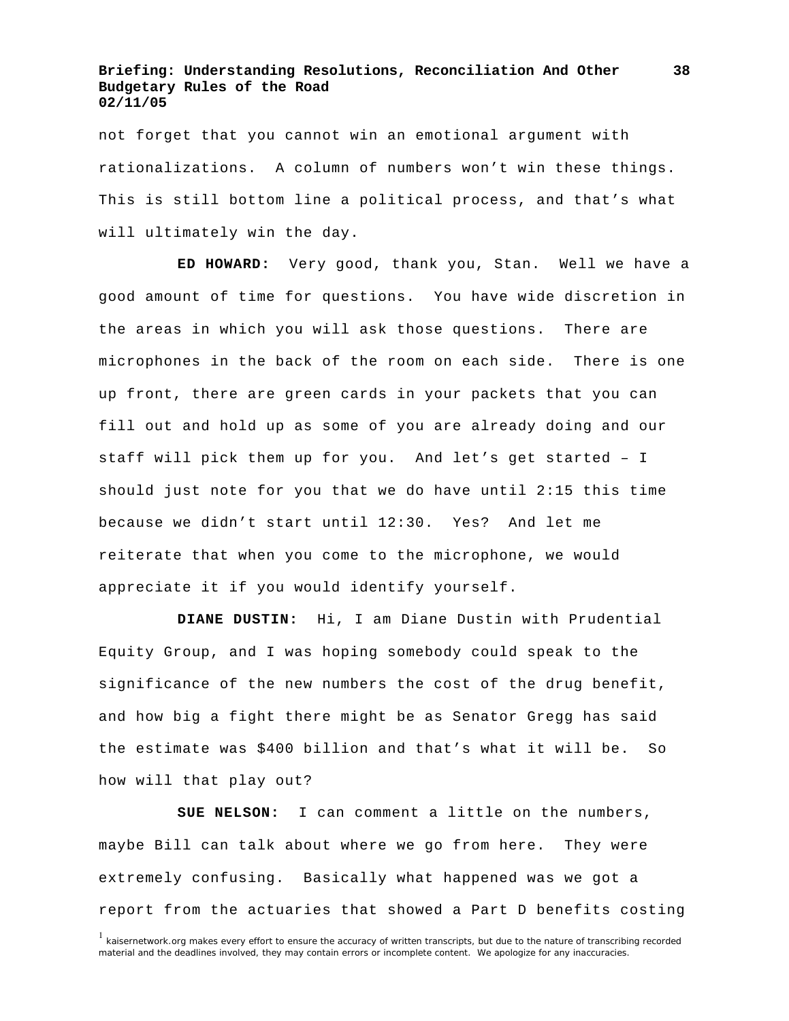not forget that you cannot win an emotional argument with rationalizations. A column of numbers won't win these things. This is still bottom line a political process, and that's what will ultimately win the day.

 **ED HOWARD:** Very good, thank you, Stan. Well we have a good amount of time for questions. You have wide discretion in the areas in which you will ask those questions. There are microphones in the back of the room on each side. There is one up front, there are green cards in your packets that you can fill out and hold up as some of you are already doing and our staff will pick them up for you. And let's get started – I should just note for you that we do have until 2:15 this time because we didn't start until 12:30. Yes? And let me reiterate that when you come to the microphone, we would appreciate it if you would identify yourself.

 **DIANE DUSTIN:** Hi, I am Diane Dustin with Prudential Equity Group, and I was hoping somebody could speak to the significance of the new numbers the cost of the drug benefit, and how big a fight there might be as Senator Gregg has said the estimate was \$400 billion and that's what it will be. So how will that play out?

 **SUE NELSON:** I can comment a little on the numbers, maybe Bill can talk about where we go from here. They were extremely confusing. Basically what happened was we got a report from the actuaries that showed a Part D benefits costing

**38**

<sup>&</sup>lt;sup>1</sup> kaisernetwork.org makes every effort to ensure the accuracy of written transcripts, but due to the nature of transcribing recorded material and the deadlines involved, they may contain errors or incomplete content. We apologize for any inaccuracies.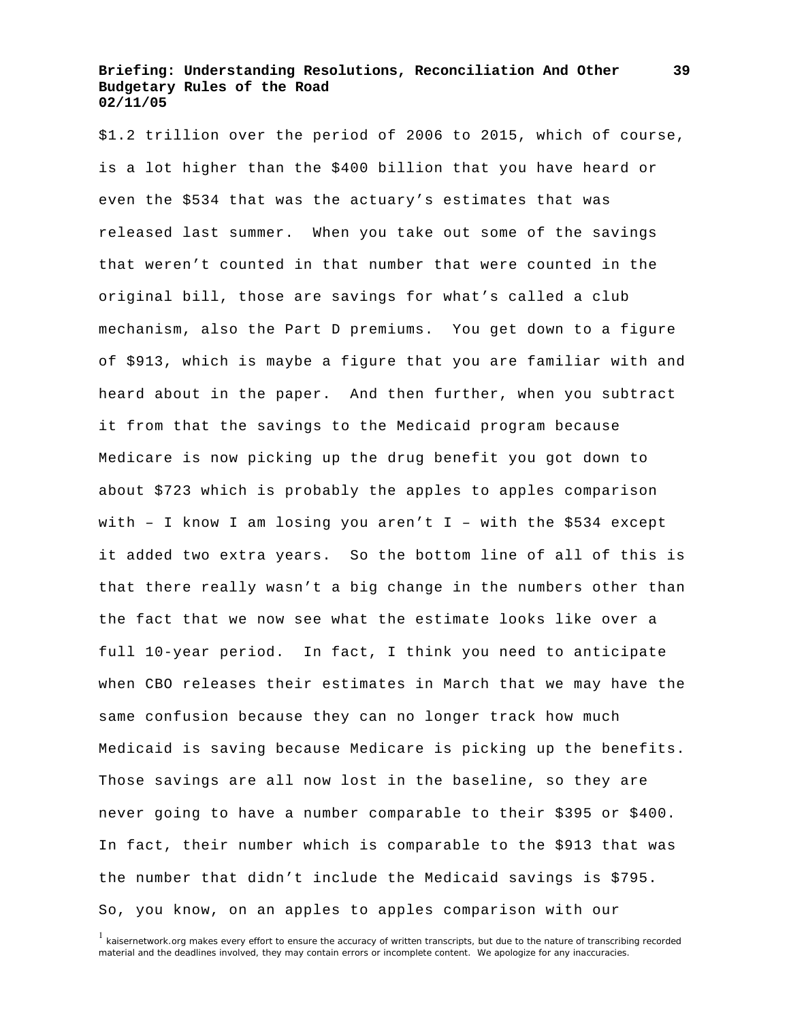\$1.2 trillion over the period of 2006 to 2015, which of course, is a lot higher than the \$400 billion that you have heard or even the \$534 that was the actuary's estimates that was released last summer. When you take out some of the savings that weren't counted in that number that were counted in the original bill, those are savings for what's called a club mechanism, also the Part D premiums. You get down to a figure of \$913, which is maybe a figure that you are familiar with and heard about in the paper. And then further, when you subtract it from that the savings to the Medicaid program because Medicare is now picking up the drug benefit you got down to about \$723 which is probably the apples to apples comparison with - I know I am losing you aren't  $I$  - with the \$534 except it added two extra years. So the bottom line of all of this is that there really wasn't a big change in the numbers other than the fact that we now see what the estimate looks like over a full 10-year period. In fact, I think you need to anticipate when CBO releases their estimates in March that we may have the same confusion because they can no longer track how much Medicaid is saving because Medicare is picking up the benefits. Those savings are all now lost in the baseline, so they are never going to have a number comparable to their \$395 or \$400. In fact, their number which is comparable to the \$913 that was the number that didn't include the Medicaid savings is \$795. So, you know, on an apples to apples comparison with our

<sup>&</sup>lt;sup>1</sup> kaisernetwork.org makes every effort to ensure the accuracy of written transcripts, but due to the nature of transcribing recorded material and the deadlines involved, they may contain errors or incomplete content. We apologize for any inaccuracies.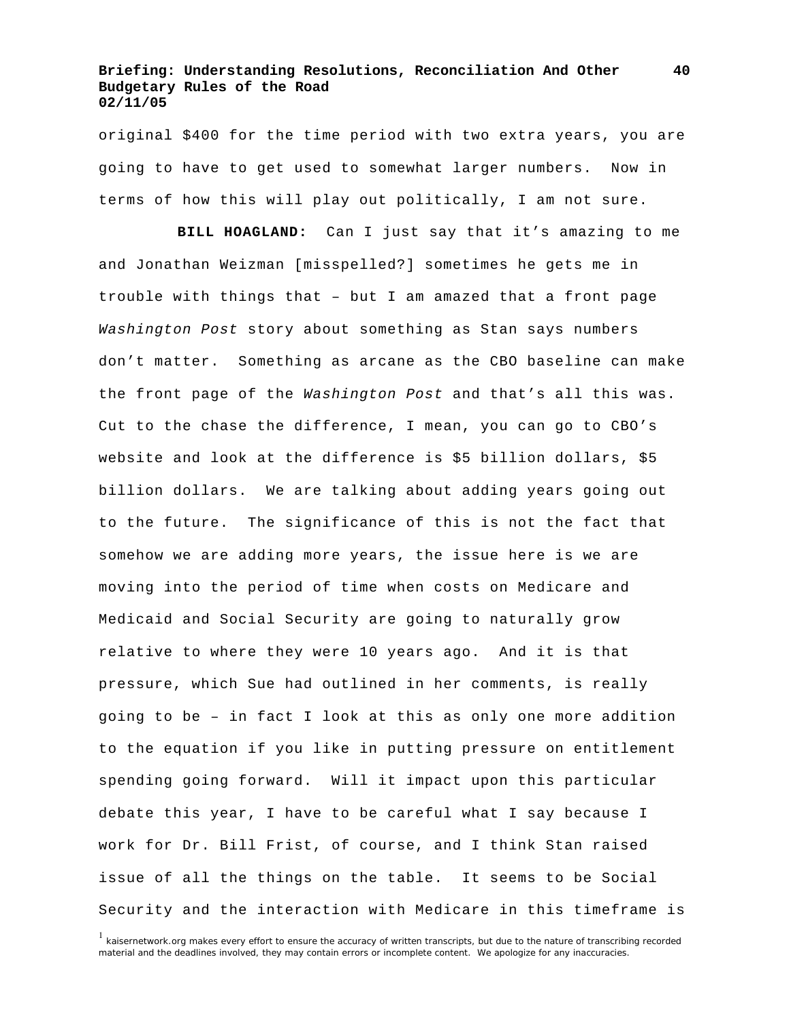original \$400 for the time period with two extra years, you are going to have to get used to somewhat larger numbers. Now in terms of how this will play out politically, I am not sure.

 **BILL HOAGLAND:** Can I just say that it's amazing to me and Jonathan Weizman [misspelled?] sometimes he gets me in trouble with things that – but I am amazed that a front page *Washington Post* story about something as Stan says numbers don't matter. Something as arcane as the CBO baseline can make the front page of the *Washington Post* and that's all this was. Cut to the chase the difference, I mean, you can go to CBO's website and look at the difference is \$5 billion dollars, \$5 billion dollars. We are talking about adding years going out to the future. The significance of this is not the fact that somehow we are adding more years, the issue here is we are moving into the period of time when costs on Medicare and Medicaid and Social Security are going to naturally grow relative to where they were 10 years ago. And it is that pressure, which Sue had outlined in her comments, is really going to be – in fact I look at this as only one more addition to the equation if you like in putting pressure on entitlement spending going forward. Will it impact upon this particular debate this year, I have to be careful what I say because I work for Dr. Bill Frist, of course, and I think Stan raised issue of all the things on the table. It seems to be Social Security and the interaction with Medicare in this timeframe is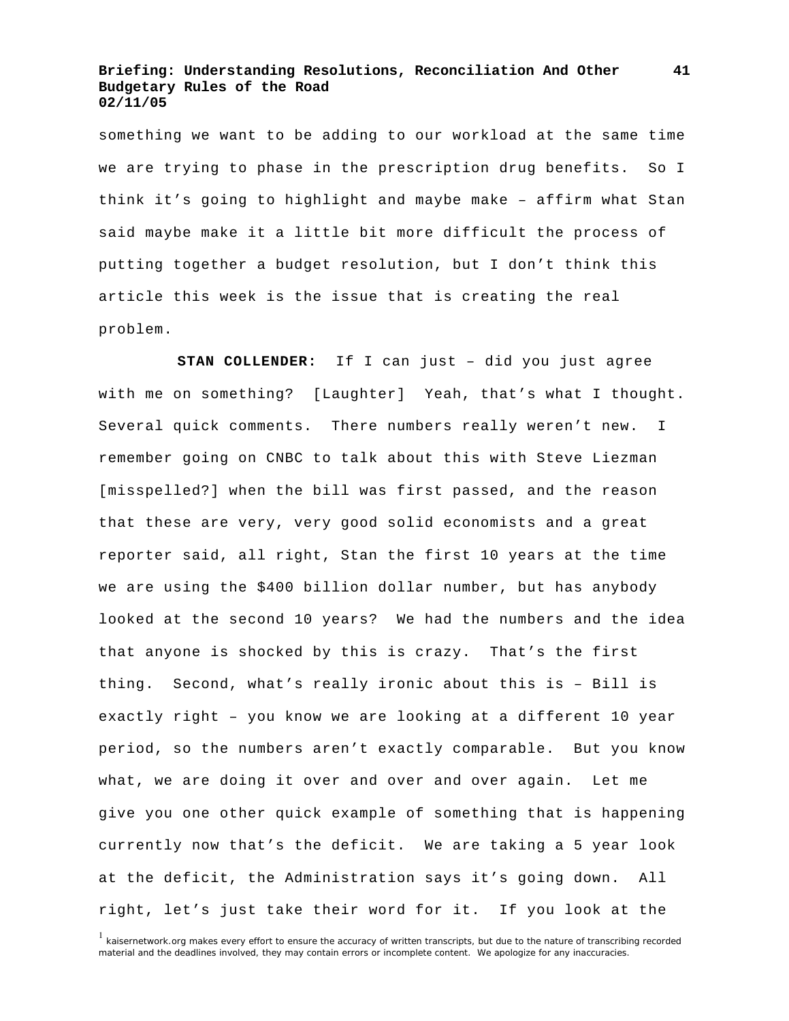something we want to be adding to our workload at the same time we are trying to phase in the prescription drug benefits. So I think it's going to highlight and maybe make – affirm what Stan said maybe make it a little bit more difficult the process of putting together a budget resolution, but I don't think this article this week is the issue that is creating the real problem.

 **STAN COLLENDER:** If I can just – did you just agree with me on something? [Laughter] Yeah, that's what I thought. Several quick comments. There numbers really weren't new. I remember going on CNBC to talk about this with Steve Liezman [misspelled?] when the bill was first passed, and the reason that these are very, very good solid economists and a great reporter said, all right, Stan the first 10 years at the time we are using the \$400 billion dollar number, but has anybody looked at the second 10 years? We had the numbers and the idea that anyone is shocked by this is crazy. That's the first thing. Second, what's really ironic about this is – Bill is exactly right – you know we are looking at a different 10 year period, so the numbers aren't exactly comparable. But you know what, we are doing it over and over and over again. Let me give you one other quick example of something that is happening currently now that's the deficit. We are taking a 5 year look at the deficit, the Administration says it's going down. All right, let's just take their word for it. If you look at the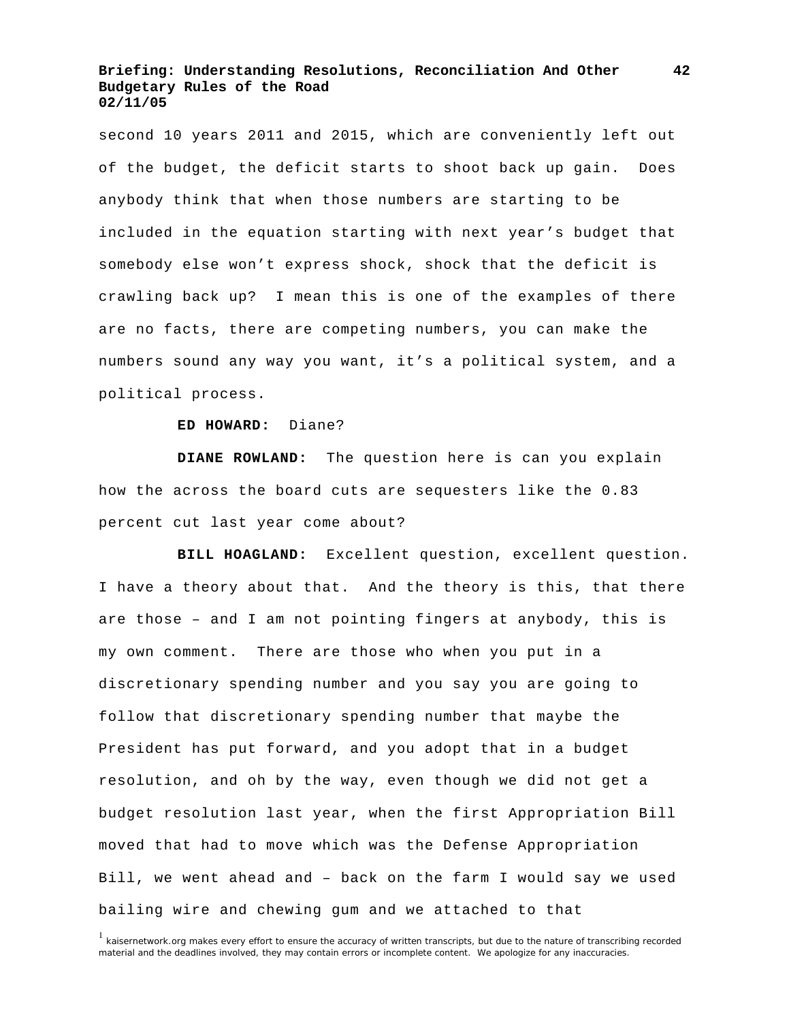second 10 years 2011 and 2015, which are conveniently left out of the budget, the deficit starts to shoot back up gain. Does anybody think that when those numbers are starting to be included in the equation starting with next year's budget that somebody else won't express shock, shock that the deficit is crawling back up? I mean this is one of the examples of there are no facts, there are competing numbers, you can make the numbers sound any way you want, it's a political system, and a political process.

#### **ED HOWARD:** Diane?

 **DIANE ROWLAND:** The question here is can you explain how the across the board cuts are sequesters like the 0.83 percent cut last year come about?

 **BILL HOAGLAND:** Excellent question, excellent question. I have a theory about that. And the theory is this, that there are those – and I am not pointing fingers at anybody, this is my own comment. There are those who when you put in a discretionary spending number and you say you are going to follow that discretionary spending number that maybe the President has put forward, and you adopt that in a budget resolution, and oh by the way, even though we did not get a budget resolution last year, when the first Appropriation Bill moved that had to move which was the Defense Appropriation Bill, we went ahead and – back on the farm I would say we used bailing wire and chewing gum and we attached to that

<sup>&</sup>lt;sup>1</sup> kaisernetwork.org makes every effort to ensure the accuracy of written transcripts, but due to the nature of transcribing recorded material and the deadlines involved, they may contain errors or incomplete content. We apologize for any inaccuracies.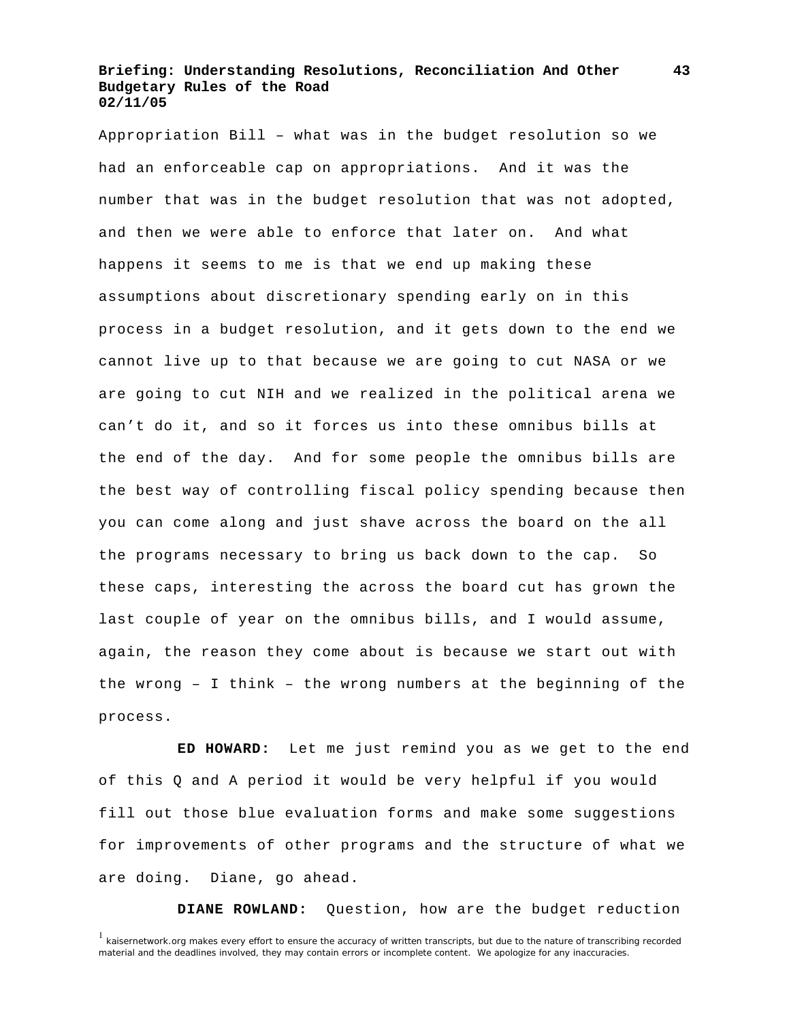Appropriation Bill – what was in the budget resolution so we had an enforceable cap on appropriations. And it was the number that was in the budget resolution that was not adopted, and then we were able to enforce that later on. And what happens it seems to me is that we end up making these assumptions about discretionary spending early on in this process in a budget resolution, and it gets down to the end we cannot live up to that because we are going to cut NASA or we are going to cut NIH and we realized in the political arena we can't do it, and so it forces us into these omnibus bills at the end of the day. And for some people the omnibus bills are the best way of controlling fiscal policy spending because then you can come along and just shave across the board on the all the programs necessary to bring us back down to the cap. So these caps, interesting the across the board cut has grown the last couple of year on the omnibus bills, and I would assume, again, the reason they come about is because we start out with the wrong – I think – the wrong numbers at the beginning of the process.

 **ED HOWARD:** Let me just remind you as we get to the end of this Q and A period it would be very helpful if you would fill out those blue evaluation forms and make some suggestions for improvements of other programs and the structure of what we are doing. Diane, go ahead.

**DIANE ROWLAND:** Question, how are the budget reduction

**43**

<sup>&</sup>lt;sup>1</sup> kaisernetwork.org makes every effort to ensure the accuracy of written transcripts, but due to the nature of transcribing recorded material and the deadlines involved, they may contain errors or incomplete content. We apologize for any inaccuracies.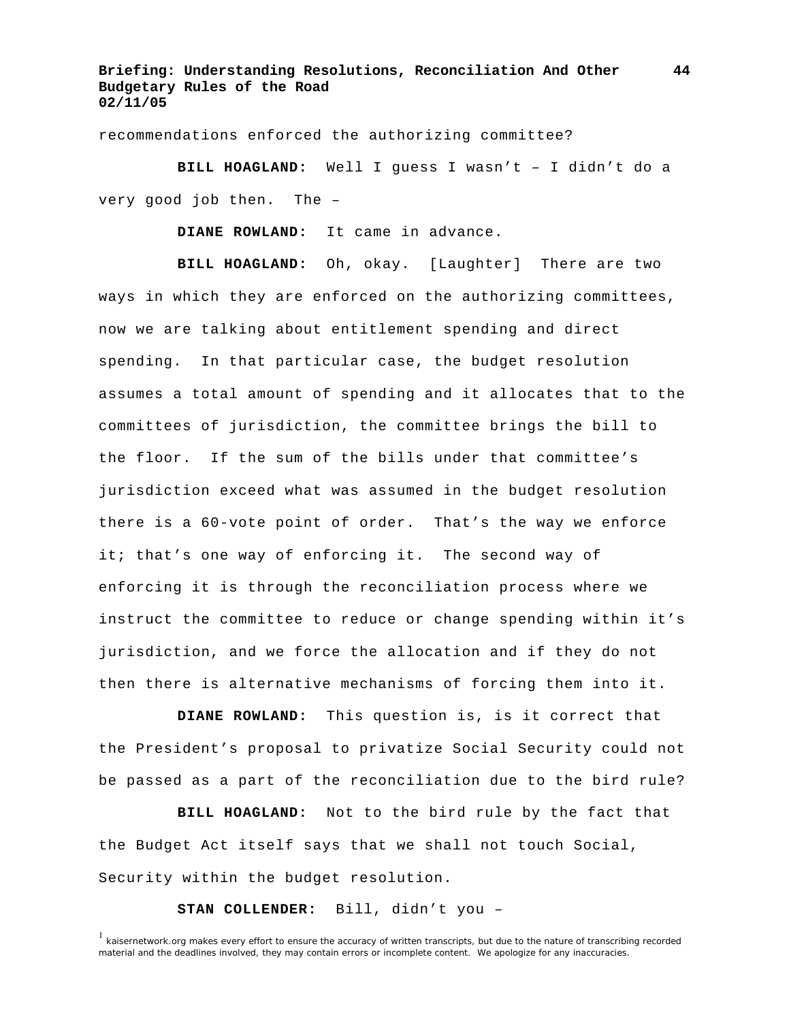recommendations enforced the authorizing committee?

 **BILL HOAGLAND:** Well I guess I wasn't – I didn't do a very good job then. The –

**DIANE ROWLAND:** It came in advance.

 **BILL HOAGLAND:** Oh, okay. [Laughter] There are two ways in which they are enforced on the authorizing committees, now we are talking about entitlement spending and direct spending. In that particular case, the budget resolution assumes a total amount of spending and it allocates that to the committees of jurisdiction, the committee brings the bill to the floor. If the sum of the bills under that committee's jurisdiction exceed what was assumed in the budget resolution there is a 60-vote point of order. That's the way we enforce it; that's one way of enforcing it. The second way of enforcing it is through the reconciliation process where we instruct the committee to reduce or change spending within it's jurisdiction, and we force the allocation and if they do not then there is alternative mechanisms of forcing them into it.

 **DIANE ROWLAND:** This question is, is it correct that the President's proposal to privatize Social Security could not be passed as a part of the reconciliation due to the bird rule?

 **BILL HOAGLAND:** Not to the bird rule by the fact that the Budget Act itself says that we shall not touch Social, Security within the budget resolution.

**STAN COLLENDER:** Bill, didn't you –

<sup>&</sup>lt;sup>1</sup> kaisernetwork.org makes every effort to ensure the accuracy of written transcripts, but due to the nature of transcribing recorded material and the deadlines involved, they may contain errors or incomplete content. We apologize for any inaccuracies.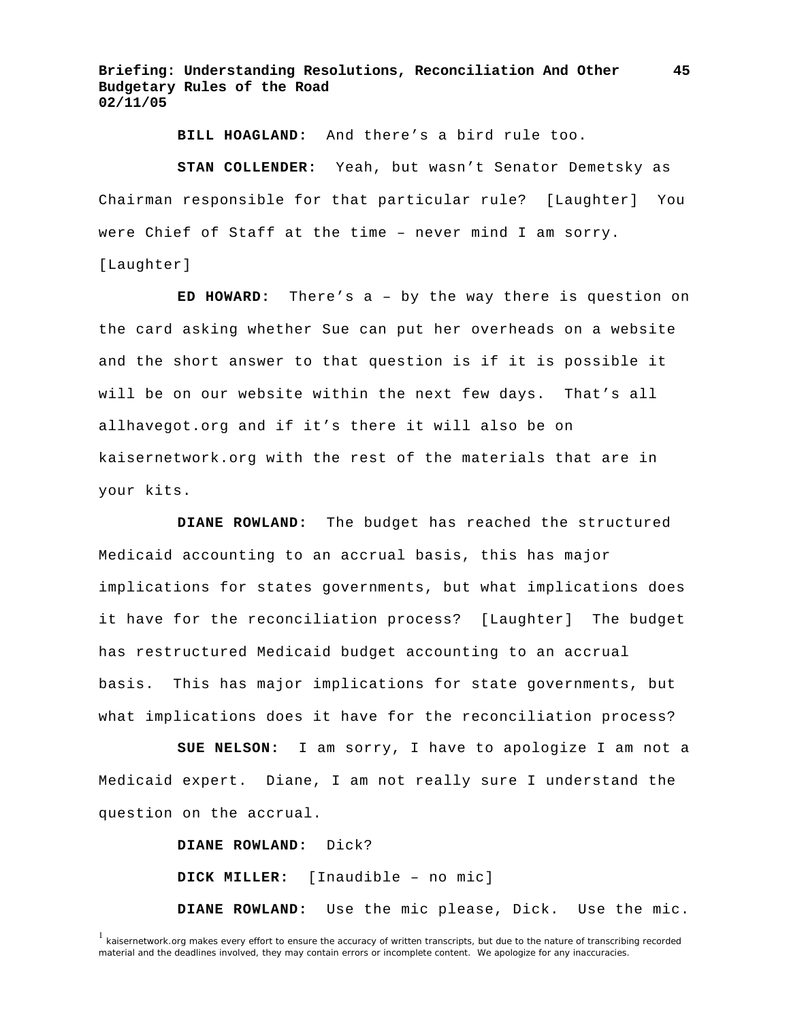**BILL HOAGLAND:** And there's a bird rule too.

 **STAN COLLENDER:** Yeah, but wasn't Senator Demetsky as Chairman responsible for that particular rule? [Laughter] You were Chief of Staff at the time – never mind I am sorry. [Laughter]

 **ED HOWARD:** There's a – by the way there is question on the card asking whether Sue can put her overheads on a website and the short answer to that question is if it is possible it will be on our website within the next few days. That's all allhavegot.org and if it's there it will also be on kaisernetwork.org with the rest of the materials that are in your kits.

 **DIANE ROWLAND:** The budget has reached the structured Medicaid accounting to an accrual basis, this has major implications for states governments, but what implications does it have for the reconciliation process? [Laughter] The budget has restructured Medicaid budget accounting to an accrual basis. This has major implications for state governments, but what implications does it have for the reconciliation process?

 **SUE NELSON:** I am sorry, I have to apologize I am not a Medicaid expert. Diane, I am not really sure I understand the question on the accrual.

**DIANE ROWLAND:** Dick?

**DICK MILLER:** [Inaudible – no mic]

**DIANE ROWLAND:** Use the mic please, Dick. Use the mic.

**45**

<sup>&</sup>lt;sup>1</sup> kaisernetwork.org makes every effort to ensure the accuracy of written transcripts, but due to the nature of transcribing recorded material and the deadlines involved, they may contain errors or incomplete content. We apologize for any inaccuracies.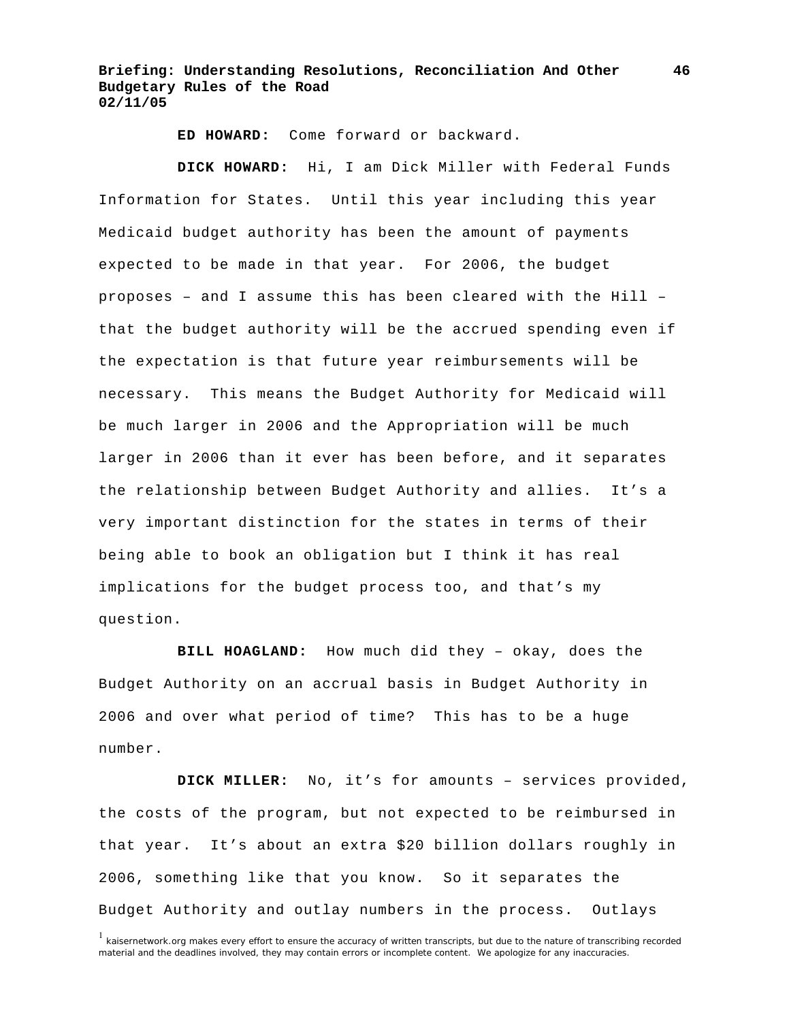**ED HOWARD:** Come forward or backward.

 **DICK HOWARD:** Hi, I am Dick Miller with Federal Funds Information for States. Until this year including this year Medicaid budget authority has been the amount of payments expected to be made in that year. For 2006, the budget proposes – and I assume this has been cleared with the Hill – that the budget authority will be the accrued spending even if the expectation is that future year reimbursements will be necessary. This means the Budget Authority for Medicaid will be much larger in 2006 and the Appropriation will be much larger in 2006 than it ever has been before, and it separates the relationship between Budget Authority and allies. It's a very important distinction for the states in terms of their being able to book an obligation but I think it has real implications for the budget process too, and that's my question.

 **BILL HOAGLAND:** How much did they – okay, does the Budget Authority on an accrual basis in Budget Authority in 2006 and over what period of time? This has to be a huge number.

 **DICK MILLER:** No, it's for amounts – services provided, the costs of the program, but not expected to be reimbursed in that year. It's about an extra \$20 billion dollars roughly in 2006, something like that you know. So it separates the Budget Authority and outlay numbers in the process. Outlays

<sup>&</sup>lt;sup>1</sup> kaisernetwork.org makes every effort to ensure the accuracy of written transcripts, but due to the nature of transcribing recorded material and the deadlines involved, they may contain errors or incomplete content. We apologize for any inaccuracies.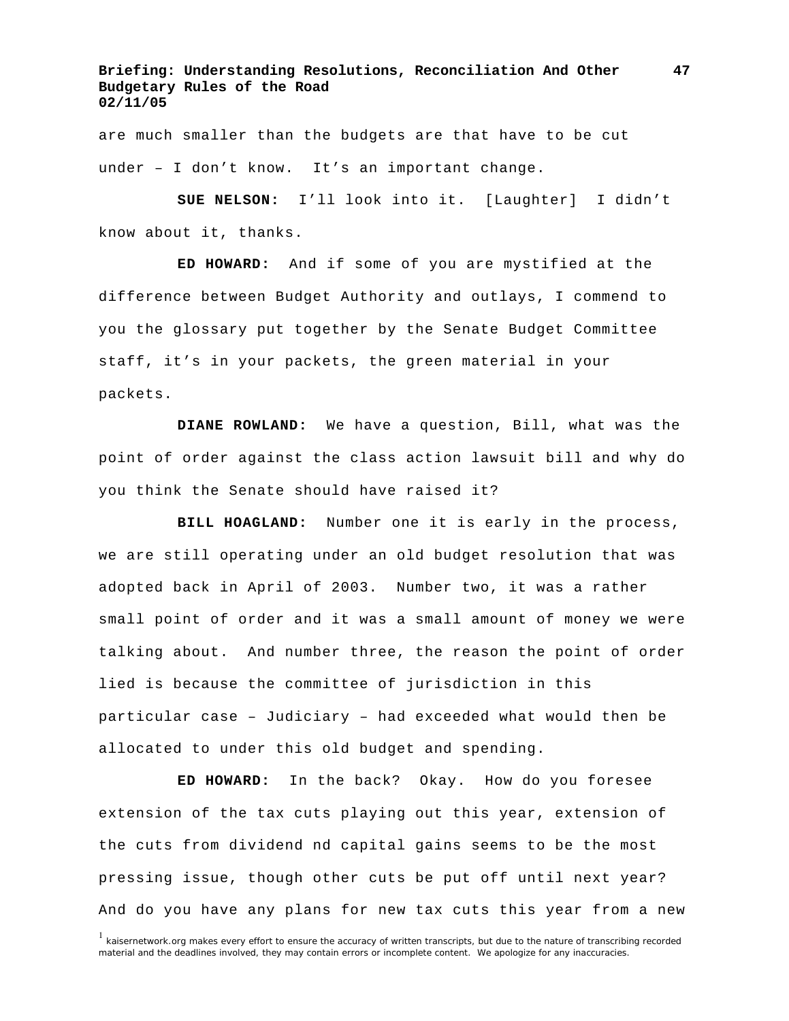are much smaller than the budgets are that have to be cut under – I don't know. It's an important change.

 **SUE NELSON:** I'll look into it. [Laughter] I didn't know about it, thanks.

 **ED HOWARD:** And if some of you are mystified at the difference between Budget Authority and outlays, I commend to you the glossary put together by the Senate Budget Committee staff, it's in your packets, the green material in your packets.

 **DIANE ROWLAND:** We have a question, Bill, what was the point of order against the class action lawsuit bill and why do you think the Senate should have raised it?

 **BILL HOAGLAND:** Number one it is early in the process, we are still operating under an old budget resolution that was adopted back in April of 2003. Number two, it was a rather small point of order and it was a small amount of money we were talking about. And number three, the reason the point of order lied is because the committee of jurisdiction in this particular case – Judiciary – had exceeded what would then be allocated to under this old budget and spending.

 **ED HOWARD:** In the back? Okay. How do you foresee extension of the tax cuts playing out this year, extension of the cuts from dividend nd capital gains seems to be the most pressing issue, though other cuts be put off until next year? And do you have any plans for new tax cuts this year from a new

**47**

<sup>&</sup>lt;sup>1</sup> kaisernetwork.org makes every effort to ensure the accuracy of written transcripts, but due to the nature of transcribing recorded material and the deadlines involved, they may contain errors or incomplete content. We apologize for any inaccuracies.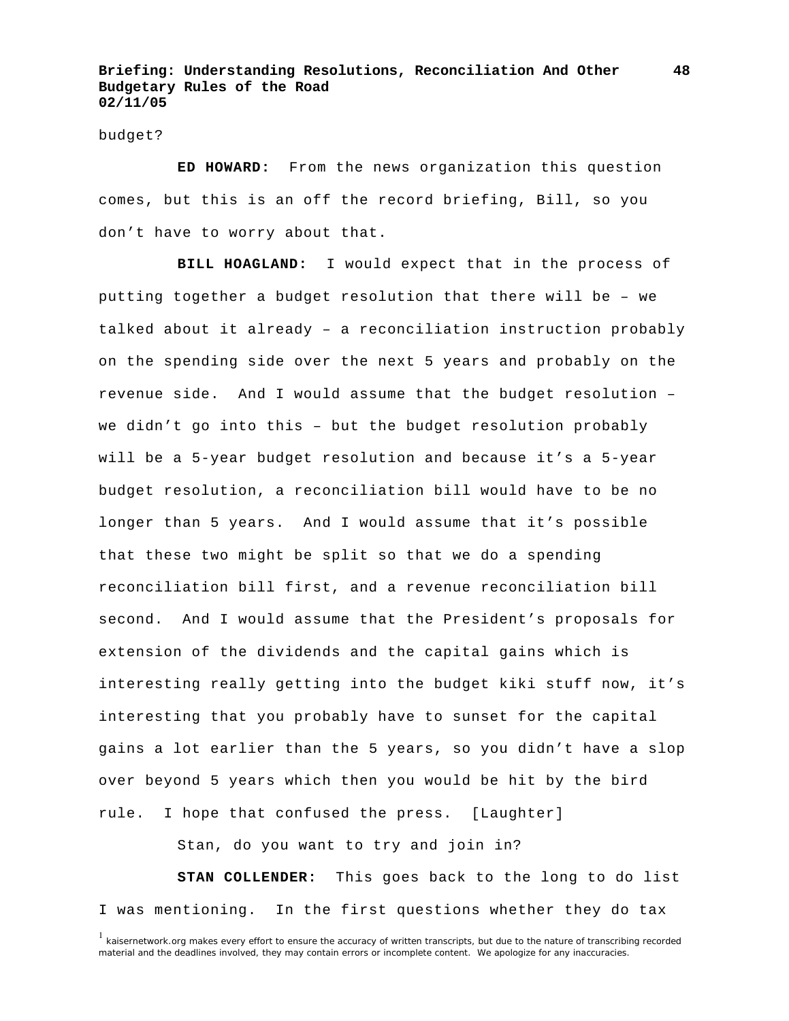#### budget?

 **ED HOWARD:** From the news organization this question comes, but this is an off the record briefing, Bill, so you don't have to worry about that.

 **BILL HOAGLAND:** I would expect that in the process of putting together a budget resolution that there will be – we talked about it already – a reconciliation instruction probably on the spending side over the next 5 years and probably on the revenue side. And I would assume that the budget resolution – we didn't go into this – but the budget resolution probably will be a 5-year budget resolution and because it's a 5-year budget resolution, a reconciliation bill would have to be no longer than 5 years. And I would assume that it's possible that these two might be split so that we do a spending reconciliation bill first, and a revenue reconciliation bill second. And I would assume that the President's proposals for extension of the dividends and the capital gains which is interesting really getting into the budget kiki stuff now, it's interesting that you probably have to sunset for the capital gains a lot earlier than the 5 years, so you didn't have a slop over beyond 5 years which then you would be hit by the bird rule. I hope that confused the press. [Laughter]

Stan, do you want to try and join in?

 **STAN COLLENDER:** This goes back to the long to do list I was mentioning. In the first questions whether they do tax

<sup>&</sup>lt;sup>1</sup> kaisernetwork.org makes every effort to ensure the accuracy of written transcripts, but due to the nature of transcribing recorded material and the deadlines involved, they may contain errors or incomplete content. We apologize for any inaccuracies.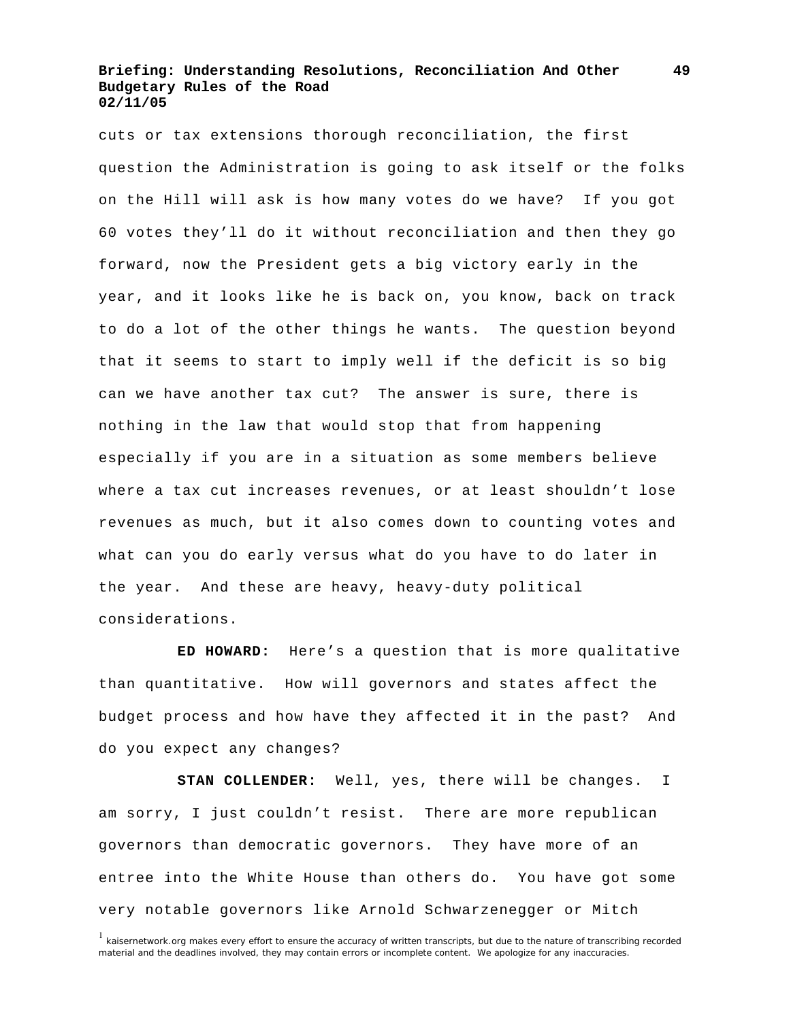cuts or tax extensions thorough reconciliation, the first question the Administration is going to ask itself or the folks on the Hill will ask is how many votes do we have? If you got 60 votes they'll do it without reconciliation and then they go forward, now the President gets a big victory early in the year, and it looks like he is back on, you know, back on track to do a lot of the other things he wants. The question beyond that it seems to start to imply well if the deficit is so big can we have another tax cut? The answer is sure, there is nothing in the law that would stop that from happening especially if you are in a situation as some members believe where a tax cut increases revenues, or at least shouldn't lose revenues as much, but it also comes down to counting votes and what can you do early versus what do you have to do later in the year. And these are heavy, heavy-duty political considerations.

 **ED HOWARD:** Here's a question that is more qualitative than quantitative. How will governors and states affect the budget process and how have they affected it in the past? And do you expect any changes?

 **STAN COLLENDER:** Well, yes, there will be changes. I am sorry, I just couldn't resist. There are more republican governors than democratic governors. They have more of an entree into the White House than others do. You have got some very notable governors like Arnold Schwarzenegger or Mitch

<sup>&</sup>lt;sup>1</sup> kaisernetwork.org makes every effort to ensure the accuracy of written transcripts, but due to the nature of transcribing recorded material and the deadlines involved, they may contain errors or incomplete content. We apologize for any inaccuracies.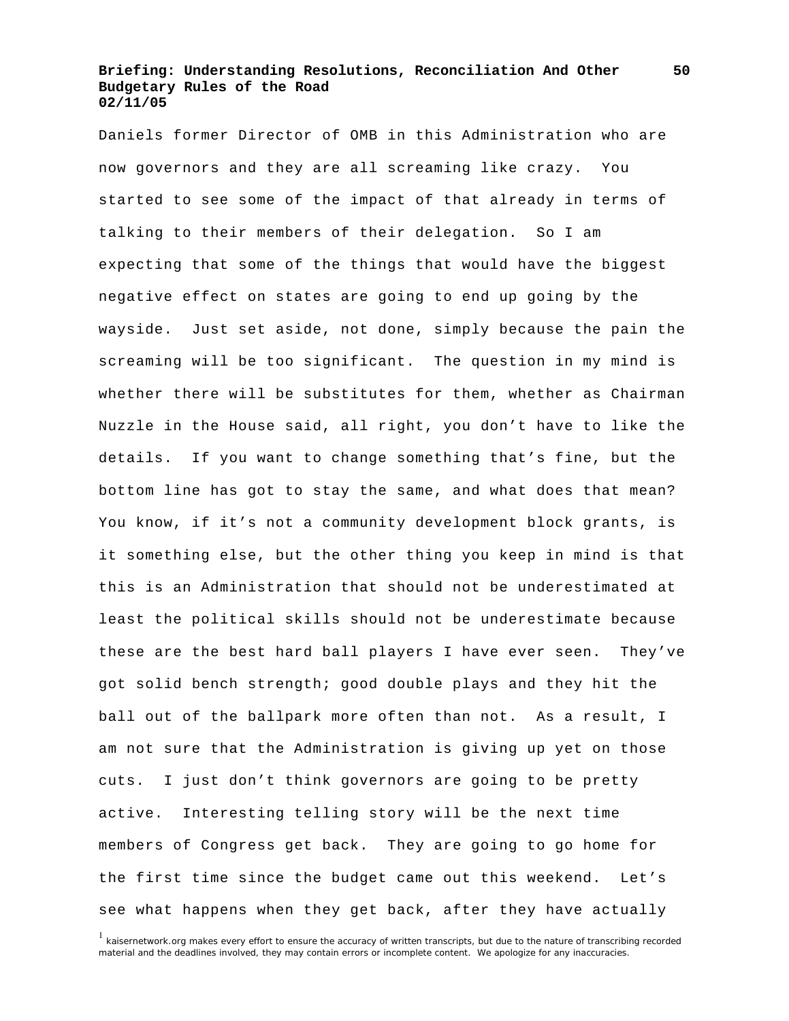Daniels former Director of OMB in this Administration who are now governors and they are all screaming like crazy. You started to see some of the impact of that already in terms of talking to their members of their delegation. So I am expecting that some of the things that would have the biggest negative effect on states are going to end up going by the wayside. Just set aside, not done, simply because the pain the screaming will be too significant. The question in my mind is whether there will be substitutes for them, whether as Chairman Nuzzle in the House said, all right, you don't have to like the details. If you want to change something that's fine, but the bottom line has got to stay the same, and what does that mean? You know, if it's not a community development block grants, is it something else, but the other thing you keep in mind is that this is an Administration that should not be underestimated at least the political skills should not be underestimate because these are the best hard ball players I have ever seen. They've got solid bench strength; good double plays and they hit the ball out of the ballpark more often than not. As a result, I am not sure that the Administration is giving up yet on those cuts. I just don't think governors are going to be pretty active. Interesting telling story will be the next time members of Congress get back. They are going to go home for the first time since the budget came out this weekend. Let's see what happens when they get back, after they have actually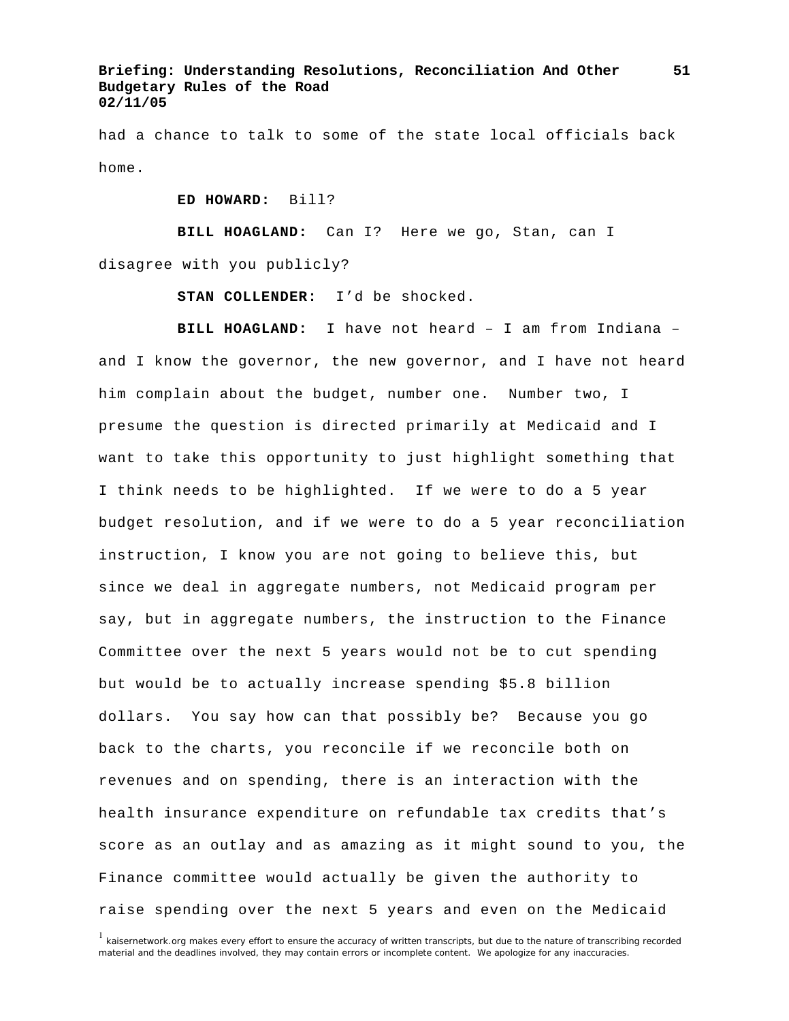had a chance to talk to some of the state local officials back home.

**ED HOWARD:** Bill?

**BILL HOAGLAND:** Can I? Here we go, Stan, can I

disagree with you publicly?

**STAN COLLENDER:** I'd be shocked.

 **BILL HOAGLAND:** I have not heard – I am from Indiana – and I know the governor, the new governor, and I have not heard him complain about the budget, number one. Number two, I presume the question is directed primarily at Medicaid and I want to take this opportunity to just highlight something that I think needs to be highlighted. If we were to do a 5 year budget resolution, and if we were to do a 5 year reconciliation instruction, I know you are not going to believe this, but since we deal in aggregate numbers, not Medicaid program per say, but in aggregate numbers, the instruction to the Finance Committee over the next 5 years would not be to cut spending but would be to actually increase spending \$5.8 billion dollars. You say how can that possibly be? Because you go back to the charts, you reconcile if we reconcile both on revenues and on spending, there is an interaction with the health insurance expenditure on refundable tax credits that's score as an outlay and as amazing as it might sound to you, the Finance committee would actually be given the authority to raise spending over the next 5 years and even on the Medicaid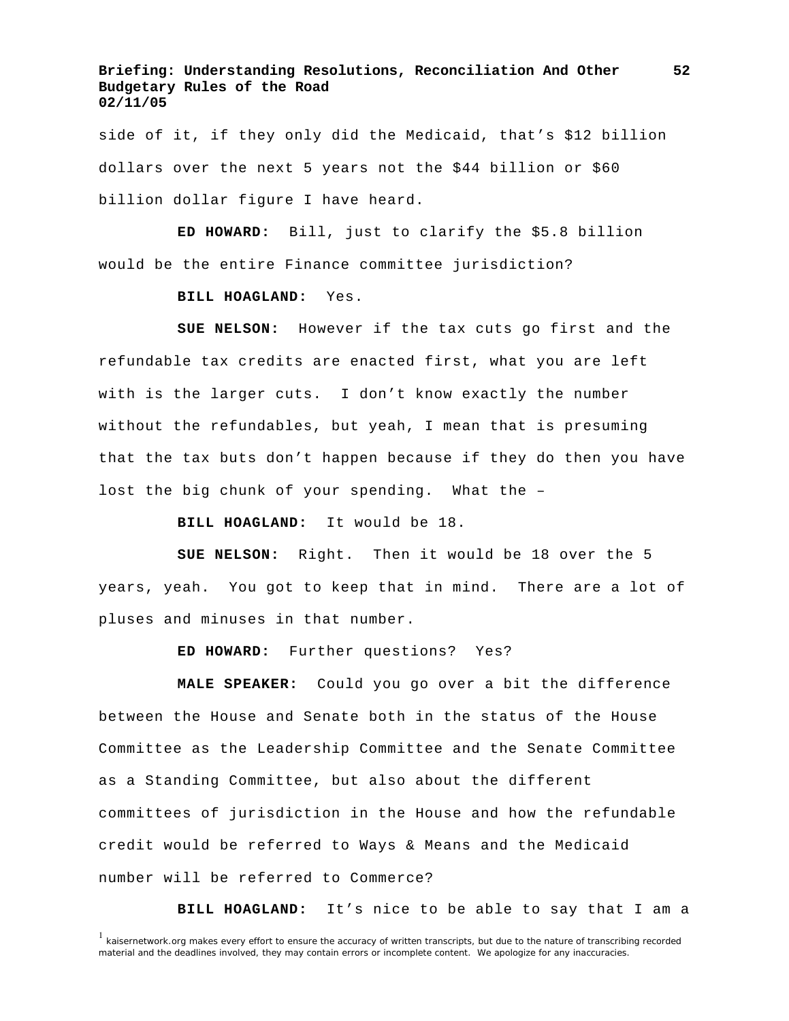side of it, if they only did the Medicaid, that's \$12 billion dollars over the next 5 years not the \$44 billion or \$60 billion dollar figure I have heard.

 **ED HOWARD:** Bill, just to clarify the \$5.8 billion would be the entire Finance committee jurisdiction?

**BILL HOAGLAND:** Yes.

 **SUE NELSON:** However if the tax cuts go first and the refundable tax credits are enacted first, what you are left with is the larger cuts. I don't know exactly the number without the refundables, but yeah, I mean that is presuming that the tax buts don't happen because if they do then you have lost the big chunk of your spending. What the –

**BILL HOAGLAND:** It would be 18.

 **SUE NELSON:** Right. Then it would be 18 over the 5 years, yeah. You got to keep that in mind. There are a lot of pluses and minuses in that number.

**ED HOWARD:** Further questions? Yes?

 **MALE SPEAKER:** Could you go over a bit the difference between the House and Senate both in the status of the House Committee as the Leadership Committee and the Senate Committee as a Standing Committee, but also about the different committees of jurisdiction in the House and how the refundable credit would be referred to Ways & Means and the Medicaid number will be referred to Commerce?

**BILL HOAGLAND:** It's nice to be able to say that I am a

<sup>&</sup>lt;sup>1</sup> kaisernetwork.org makes every effort to ensure the accuracy of written transcripts, but due to the nature of transcribing recorded material and the deadlines involved, they may contain errors or incomplete content. We apologize for any inaccuracies.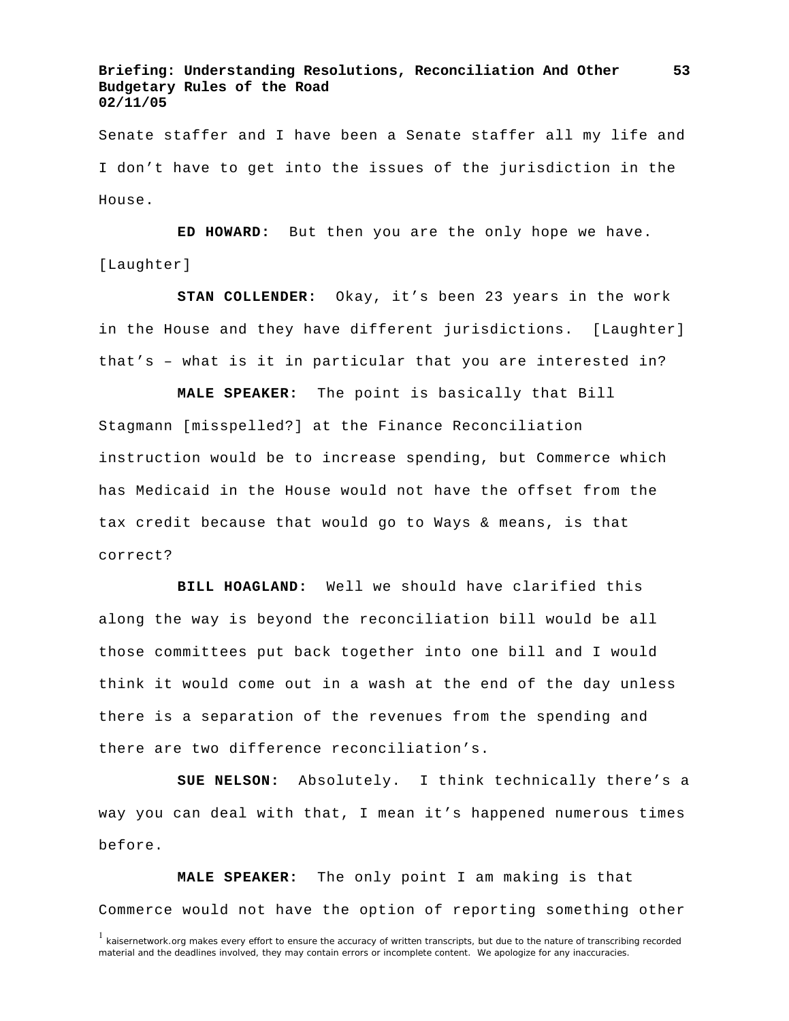Senate staffer and I have been a Senate staffer all my life and I don't have to get into the issues of the jurisdiction in the House.

 **ED HOWARD:** But then you are the only hope we have. [Laughter]

 **STAN COLLENDER:** Okay, it's been 23 years in the work in the House and they have different jurisdictions. [Laughter] that's – what is it in particular that you are interested in?

 **MALE SPEAKER:** The point is basically that Bill Stagmann [misspelled?] at the Finance Reconciliation instruction would be to increase spending, but Commerce which has Medicaid in the House would not have the offset from the tax credit because that would go to Ways & means, is that correct?

 **BILL HOAGLAND:** Well we should have clarified this along the way is beyond the reconciliation bill would be all those committees put back together into one bill and I would think it would come out in a wash at the end of the day unless there is a separation of the revenues from the spending and there are two difference reconciliation's.

 **SUE NELSON:** Absolutely. I think technically there's a way you can deal with that, I mean it's happened numerous times before.

 **MALE SPEAKER:** The only point I am making is that Commerce would not have the option of reporting something other

**53**

<sup>&</sup>lt;sup>1</sup> kaisernetwork.org makes every effort to ensure the accuracy of written transcripts, but due to the nature of transcribing recorded material and the deadlines involved, they may contain errors or incomplete content. We apologize for any inaccuracies.